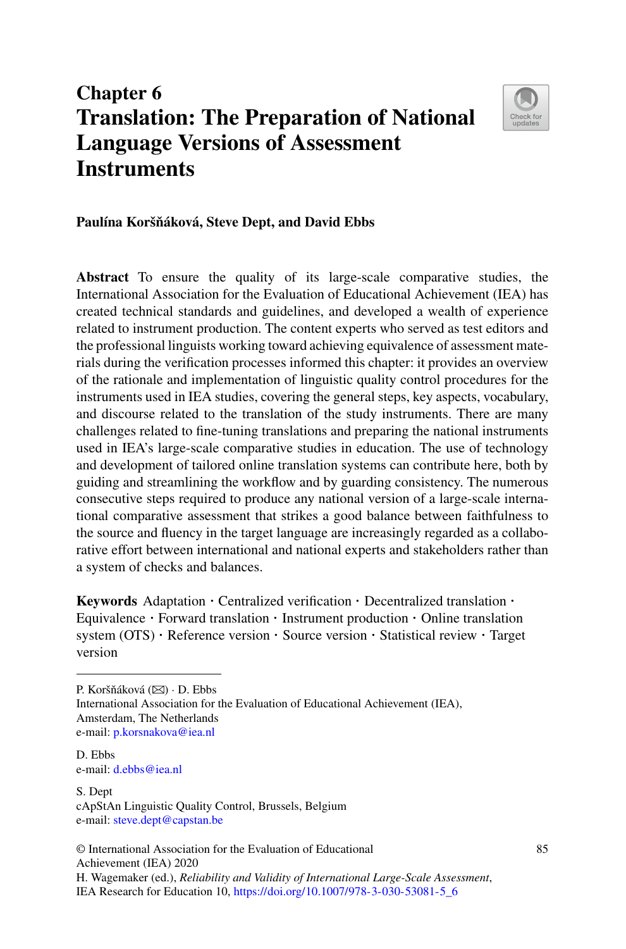# **Chapter 6 Translation: The Preparation of National Language Versions of Assessment Instruments**



#### Paulína Koršňáková, Steve Dept, and David Ebbs

**Abstract** To ensure the quality of its large-scale comparative studies, the International Association for the Evaluation of Educational Achievement (IEA) has created technical standards and guidelines, and developed a wealth of experience related to instrument production. The content experts who served as test editors and the professional linguists working toward achieving equivalence of assessment materials during the verification processes informed this chapter: it provides an overview of the rationale and implementation of linguistic quality control procedures for the instruments used in IEA studies, covering the general steps, key aspects, vocabulary, and discourse related to the translation of the study instruments. There are many challenges related to fine-tuning translations and preparing the national instruments used in IEA's large-scale comparative studies in education. The use of technology and development of tailored online translation systems can contribute here, both by guiding and streamlining the workflow and by guarding consistency. The numerous consecutive steps required to produce any national version of a large-scale international comparative assessment that strikes a good balance between faithfulness to the source and fluency in the target language are increasingly regarded as a collaborative effort between international and national experts and stakeholders rather than a system of checks and balances.

**Keywords** Adaptation · Centralized verification · Decentralized translation · Equivalence · Forward translation · Instrument production · Online translation system (OTS) · Reference version · Source version · Statistical review · Target version

P. Koršňáková (⊠) · D. Ebbs International Association for the Evaluation of Educational Achievement (IEA), Amsterdam, The Netherlands e-mail: [p.korsnakova@iea.nl](mailto:p.korsnakova@iea.nl)

D. Fhhe e-mail: [d.ebbs@iea.nl](mailto:d.ebbs@iea.nl)

#### S. Dept cApStAn Linguistic Quality Control, Brussels, Belgium e-mail: [steve.dept@capstan.be](mailto:steve.dept@capstan.be)

© International Association for the Evaluation of Educational Achievement (IEA) 2020 H. Wagemaker (ed.), *Reliability and Validity of International Large-Scale Assessment*, IEA Research for Education 10, [https://doi.org/10.1007/978-3-030-53081-5\\_6](https://doi.org/10.1007/978-3-030-53081-5_6)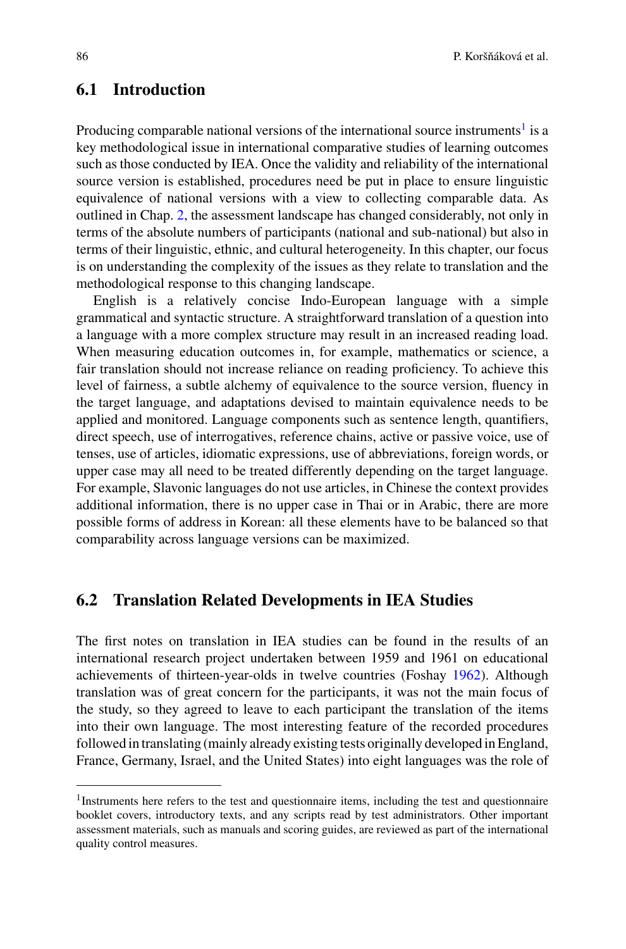## **6.1 Introduction**

Producing comparable national versions of the international source instruments<sup>[1](#page-1-0)</sup> is a key methodological issue in international comparative studies of learning outcomes such as those conducted by IEA. Once the validity and reliability of the international source version is established, procedures need be put in place to ensure linguistic equivalence of national versions with a view to collecting comparable data. As outlined in Chap. 2, the assessment landscape has changed considerably, not only in terms of the absolute numbers of participants (national and sub-national) but also in terms of their linguistic, ethnic, and cultural heterogeneity. In this chapter, our focus is on understanding the complexity of the issues as they relate to translation and the methodological response to this changing landscape.

English is a relatively concise Indo-European language with a simple grammatical and syntactic structure. A straightforward translation of a question into a language with a more complex structure may result in an increased reading load. When measuring education outcomes in, for example, mathematics or science, a fair translation should not increase reliance on reading proficiency. To achieve this level of fairness, a subtle alchemy of equivalence to the source version, fluency in the target language, and adaptations devised to maintain equivalence needs to be applied and monitored. Language components such as sentence length, quantifiers, direct speech, use of interrogatives, reference chains, active or passive voice, use of tenses, use of articles, idiomatic expressions, use of abbreviations, foreign words, or upper case may all need to be treated differently depending on the target language. For example, Slavonic languages do not use articles, in Chinese the context provides additional information, there is no upper case in Thai or in Arabic, there are more possible forms of address in Korean: all these elements have to be balanced so that comparability across language versions can be maximized.

## **6.2 Translation Related Developments in IEA Studies**

The first notes on translation in IEA studies can be found in the results of an international research project undertaken between 1959 and 1961 on educational achievements of thirteen-year-olds in twelve countries (Foshay [1962\)](#page-24-0). Although translation was of great concern for the participants, it was not the main focus of the study, so they agreed to leave to each participant the translation of the items into their own language. The most interesting feature of the recorded procedures followed in translating (mainly already existing tests originally developed in England, France, Germany, Israel, and the United States) into eight languages was the role of

<span id="page-1-0"></span><sup>&</sup>lt;sup>1</sup>Instruments here refers to the test and questionnaire items, including the test and questionnaire booklet covers, introductory texts, and any scripts read by test administrators. Other important assessment materials, such as manuals and scoring guides, are reviewed as part of the international quality control measures.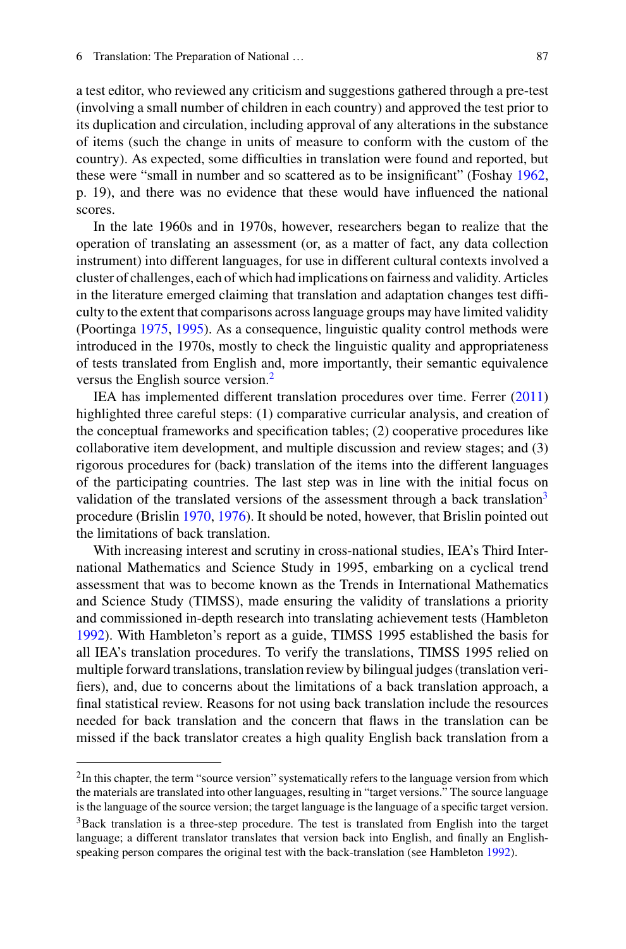a test editor, who reviewed any criticism and suggestions gathered through a pre-test (involving a small number of children in each country) and approved the test prior to its duplication and circulation, including approval of any alterations in the substance of items (such the change in units of measure to conform with the custom of the country). As expected, some difficulties in translation were found and reported, but these were "small in number and so scattered as to be insignificant" (Foshay [1962,](#page-24-0) p. 19), and there was no evidence that these would have influenced the national scores.

In the late 1960s and in 1970s, however, researchers began to realize that the operation of translating an assessment (or, as a matter of fact, any data collection instrument) into different languages, for use in different cultural contexts involved a cluster of challenges, each of which had implications on fairness and validity. Articles in the literature emerged claiming that translation and adaptation changes test difficulty to the extent that comparisons across language groups may have limited validity (Poortinga [1975,](#page-25-0) [1995\)](#page-25-1). As a consequence, linguistic quality control methods were introduced in the 1970s, mostly to check the linguistic quality and appropriateness of tests translated from English and, more importantly, their semantic equivalence versus the English source version.<sup>[2](#page-2-0)</sup>

IEA has implemented different translation procedures over time. Ferrer [\(2011\)](#page-24-1) highlighted three careful steps: (1) comparative curricular analysis, and creation of the conceptual frameworks and specification tables; (2) cooperative procedures like collaborative item development, and multiple discussion and review stages; and (3) rigorous procedures for (back) translation of the items into the different languages of the participating countries. The last step was in line with the initial focus on validation of the translated versions of the assessment through a back translation<sup>3</sup> procedure (Brislin [1970,](#page-23-0) [1976\)](#page-23-1). It should be noted, however, that Brislin pointed out the limitations of back translation.

With increasing interest and scrutiny in cross-national studies, IEA's Third International Mathematics and Science Study in 1995, embarking on a cyclical trend assessment that was to become known as the Trends in International Mathematics and Science Study (TIMSS), made ensuring the validity of translations a priority and commissioned in-depth research into translating achievement tests (Hambleton [1992\)](#page-24-2). With Hambleton's report as a guide, TIMSS 1995 established the basis for all IEA's translation procedures. To verify the translations, TIMSS 1995 relied on multiple forward translations, translation review by bilingual judges (translation verifiers), and, due to concerns about the limitations of a back translation approach, a final statistical review. Reasons for not using back translation include the resources needed for back translation and the concern that flaws in the translation can be missed if the back translator creates a high quality English back translation from a

<span id="page-2-1"></span><span id="page-2-0"></span><sup>&</sup>lt;sup>2</sup>In this chapter, the term "source version" systematically refers to the language version from which the materials are translated into other languages, resulting in "target versions." The source language is the language of the source version; the target language is the language of a specific target version. 3Back translation is a three-step procedure. The test is translated from English into the target

language; a different translator translates that version back into English, and finally an Englishspeaking person compares the original test with the back-translation (see Hambleton [1992\)](#page-24-2).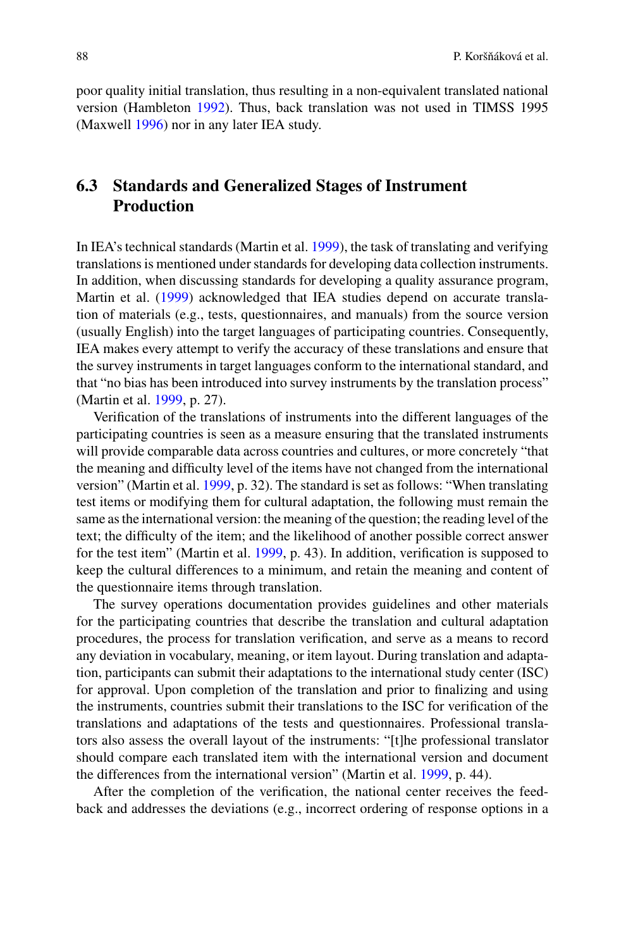poor quality initial translation, thus resulting in a non-equivalent translated national version (Hambleton [1992\)](#page-24-2). Thus, back translation was not used in TIMSS 1995 (Maxwell [1996\)](#page-25-2) nor in any later IEA study.

## **6.3 Standards and Generalized Stages of Instrument Production**

In IEA's technical standards (Martin et al. [1999\)](#page-25-3), the task of translating and verifying translations is mentioned under standards for developing data collection instruments. In addition, when discussing standards for developing a quality assurance program, Martin et al. [\(1999\)](#page-25-3) acknowledged that IEA studies depend on accurate translation of materials (e.g., tests, questionnaires, and manuals) from the source version (usually English) into the target languages of participating countries. Consequently, IEA makes every attempt to verify the accuracy of these translations and ensure that the survey instruments in target languages conform to the international standard, and that "no bias has been introduced into survey instruments by the translation process" (Martin et al. [1999,](#page-25-3) p. 27).

Verification of the translations of instruments into the different languages of the participating countries is seen as a measure ensuring that the translated instruments will provide comparable data across countries and cultures, or more concretely "that the meaning and difficulty level of the items have not changed from the international version" (Martin et al. [1999,](#page-25-3) p. 32). The standard is set as follows: "When translating test items or modifying them for cultural adaptation, the following must remain the same as the international version: the meaning of the question; the reading level of the text; the difficulty of the item; and the likelihood of another possible correct answer for the test item" (Martin et al. [1999,](#page-25-3) p. 43). In addition, verification is supposed to keep the cultural differences to a minimum, and retain the meaning and content of the questionnaire items through translation.

The survey operations documentation provides guidelines and other materials for the participating countries that describe the translation and cultural adaptation procedures, the process for translation verification, and serve as a means to record any deviation in vocabulary, meaning, or item layout. During translation and adaptation, participants can submit their adaptations to the international study center (ISC) for approval. Upon completion of the translation and prior to finalizing and using the instruments, countries submit their translations to the ISC for verification of the translations and adaptations of the tests and questionnaires. Professional translators also assess the overall layout of the instruments: "[t]he professional translator should compare each translated item with the international version and document the differences from the international version" (Martin et al. [1999,](#page-25-3) p. 44).

After the completion of the verification, the national center receives the feedback and addresses the deviations (e.g., incorrect ordering of response options in a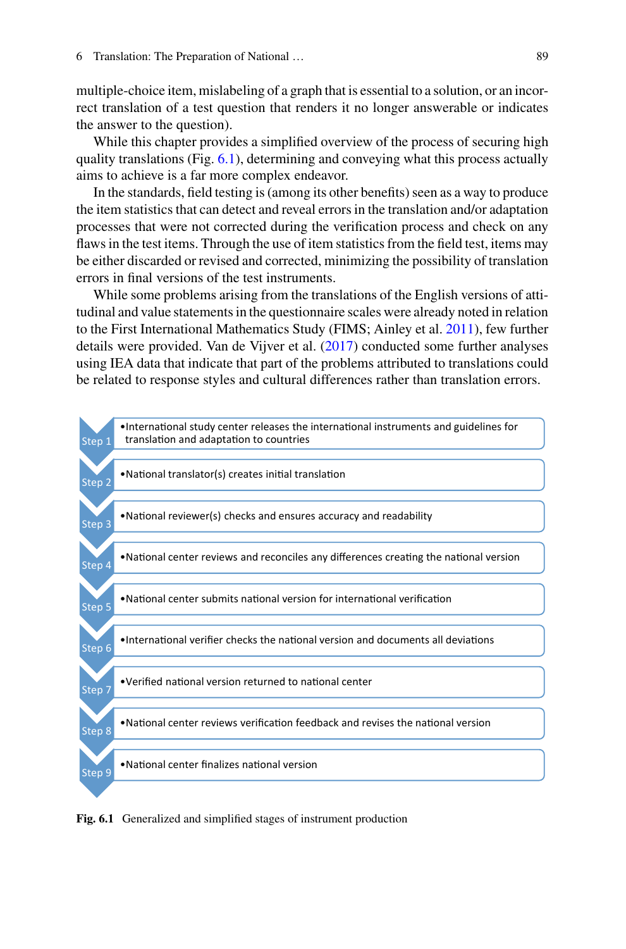multiple-choice item, mislabeling of a graph that is essential to a solution, or an incorrect translation of a test question that renders it no longer answerable or indicates the answer to the question).

While this chapter provides a simplified overview of the process of securing high quality translations (Fig.  $6.1$ ), determining and conveying what this process actually aims to achieve is a far more complex endeavor.

In the standards, field testing is (among its other benefits) seen as a way to produce the item statistics that can detect and reveal errors in the translation and/or adaptation processes that were not corrected during the verification process and check on any flaws in the test items. Through the use of item statistics from the field test, items may be either discarded or revised and corrected, minimizing the possibility of translation errors in final versions of the test instruments.

While some problems arising from the translations of the English versions of attitudinal and value statements in the questionnaire scales were already noted in relation to the First International Mathematics Study (FIMS; Ainley et al. [2011\)](#page-23-2), few further details were provided. Van de Vijver et al. [\(2017\)](#page-25-4) conducted some further analyses using IEA data that indicate that part of the problems attributed to translations could be related to response styles and cultural differences rather than translation errors.



<span id="page-4-0"></span>**Fig. 6.1** Generalized and simplified stages of instrument production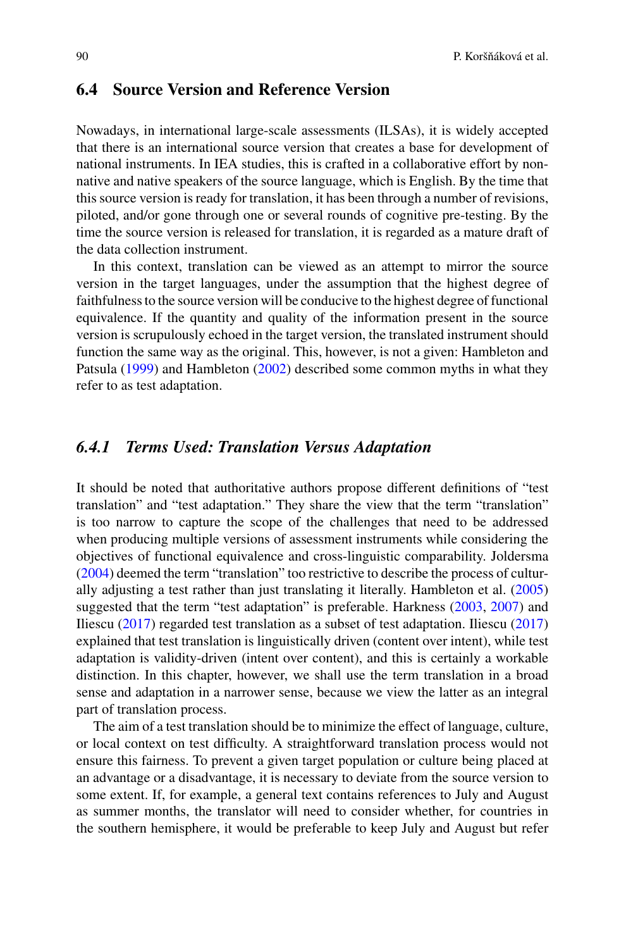# **6.4 Source Version and Reference Version**

Nowadays, in international large-scale assessments (ILSAs), it is widely accepted that there is an international source version that creates a base for development of national instruments. In IEA studies, this is crafted in a collaborative effort by nonnative and native speakers of the source language, which is English. By the time that this source version is ready for translation, it has been through a number of revisions, piloted, and/or gone through one or several rounds of cognitive pre-testing. By the time the source version is released for translation, it is regarded as a mature draft of the data collection instrument.

In this context, translation can be viewed as an attempt to mirror the source version in the target languages, under the assumption that the highest degree of faithfulness to the source version will be conducive to the highest degree of functional equivalence. If the quantity and quality of the information present in the source version is scrupulously echoed in the target version, the translated instrument should function the same way as the original. This, however, is not a given: Hambleton and Patsula [\(1999\)](#page-24-3) and Hambleton [\(2002\)](#page-24-4) described some common myths in what they refer to as test adaptation.

#### <span id="page-5-0"></span>*6.4.1 Terms Used: Translation Versus Adaptation*

It should be noted that authoritative authors propose different definitions of "test translation" and "test adaptation." They share the view that the term "translation" is too narrow to capture the scope of the challenges that need to be addressed when producing multiple versions of assessment instruments while considering the objectives of functional equivalence and cross-linguistic comparability. Joldersma [\(2004\)](#page-25-5) deemed the term "translation" too restrictive to describe the process of culturally adjusting a test rather than just translating it literally. Hambleton et al. [\(2005\)](#page-24-5) suggested that the term "test adaptation" is preferable. Harkness [\(2003,](#page-24-6) [2007\)](#page-24-7) and Iliescu [\(2017\)](#page-24-8) regarded test translation as a subset of test adaptation. Iliescu [\(2017\)](#page-24-8) explained that test translation is linguistically driven (content over intent), while test adaptation is validity-driven (intent over content), and this is certainly a workable distinction. In this chapter, however, we shall use the term translation in a broad sense and adaptation in a narrower sense, because we view the latter as an integral part of translation process.

The aim of a test translation should be to minimize the effect of language, culture, or local context on test difficulty. A straightforward translation process would not ensure this fairness. To prevent a given target population or culture being placed at an advantage or a disadvantage, it is necessary to deviate from the source version to some extent. If, for example, a general text contains references to July and August as summer months, the translator will need to consider whether, for countries in the southern hemisphere, it would be preferable to keep July and August but refer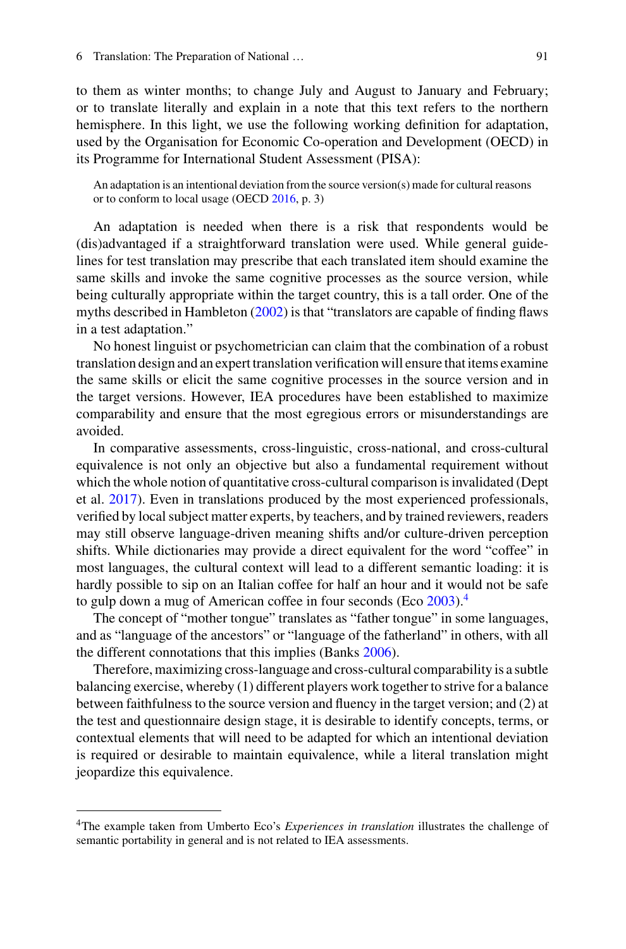to them as winter months; to change July and August to January and February; or to translate literally and explain in a note that this text refers to the northern hemisphere. In this light, we use the following working definition for adaptation, used by the Organisation for Economic Co-operation and Development (OECD) in its Programme for International Student Assessment (PISA):

An adaptation is an intentional deviation from the source version(s) made for cultural reasons or to conform to local usage (OECD [2016,](#page-25-6) p. 3)

An adaptation is needed when there is a risk that respondents would be (dis)advantaged if a straightforward translation were used. While general guidelines for test translation may prescribe that each translated item should examine the same skills and invoke the same cognitive processes as the source version, while being culturally appropriate within the target country, this is a tall order. One of the myths described in Hambleton [\(2002\)](#page-24-4) is that "translators are capable of finding flaws in a test adaptation."

No honest linguist or psychometrician can claim that the combination of a robust translation design and an expert translation verification will ensure that items examine the same skills or elicit the same cognitive processes in the source version and in the target versions. However, IEA procedures have been established to maximize comparability and ensure that the most egregious errors or misunderstandings are avoided.

In comparative assessments, cross-linguistic, cross-national, and cross-cultural equivalence is not only an objective but also a fundamental requirement without which the whole notion of quantitative cross-cultural comparison is invalidated (Dept et al. [2017\)](#page-23-3). Even in translations produced by the most experienced professionals, verified by local subject matter experts, by teachers, and by trained reviewers, readers may still observe language-driven meaning shifts and/or culture-driven perception shifts. While dictionaries may provide a direct equivalent for the word "coffee" in most languages, the cultural context will lead to a different semantic loading: it is hardly possible to sip on an Italian coffee for half an hour and it would not be safe to gulp down a mug of American coffee in four seconds (Eco [2003\)](#page-24-9).<sup>[4](#page-6-0)</sup>

The concept of "mother tongue" translates as "father tongue" in some languages, and as "language of the ancestors" or "language of the fatherland" in others, with all the different connotations that this implies (Banks [2006\)](#page-23-4).

Therefore, maximizing cross-language and cross-cultural comparability is a subtle balancing exercise, whereby (1) different players work together to strive for a balance between faithfulness to the source version and fluency in the target version; and (2) at the test and questionnaire design stage, it is desirable to identify concepts, terms, or contextual elements that will need to be adapted for which an intentional deviation is required or desirable to maintain equivalence, while a literal translation might jeopardize this equivalence.

<span id="page-6-0"></span><sup>4</sup>The example taken from Umberto Eco's *Experiences in translation* illustrates the challenge of semantic portability in general and is not related to IEA assessments.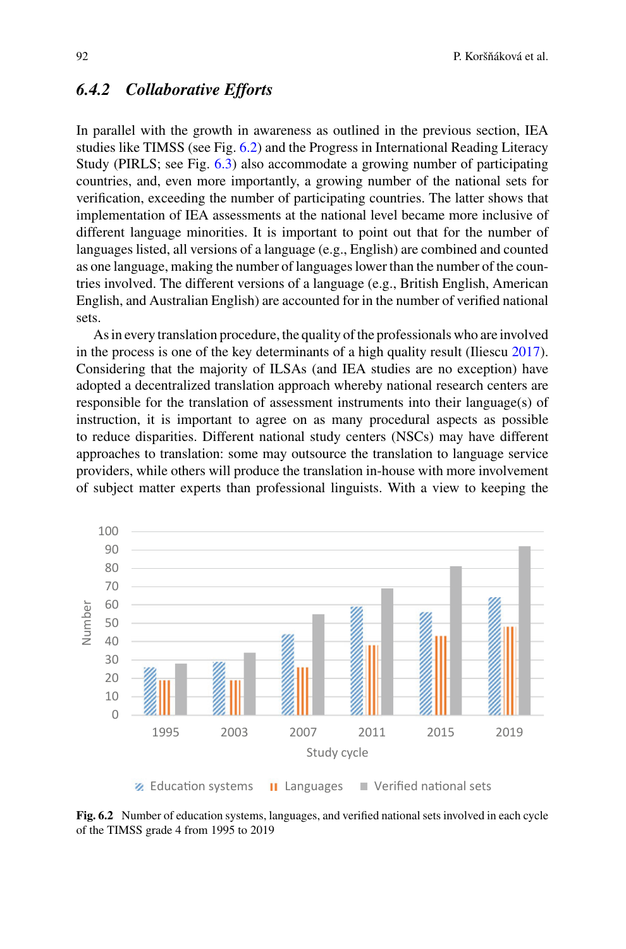## *6.4.2 Collaborative Efforts*

In parallel with the growth in awareness as outlined in the previous section, IEA studies like TIMSS (see Fig. [6.2\)](#page-7-0) and the Progress in International Reading Literacy Study (PIRLS; see Fig. [6.3\)](#page-8-0) also accommodate a growing number of participating countries, and, even more importantly, a growing number of the national sets for verification, exceeding the number of participating countries. The latter shows that implementation of IEA assessments at the national level became more inclusive of different language minorities. It is important to point out that for the number of languages listed, all versions of a language (e.g., English) are combined and counted as one language, making the number of languages lower than the number of the countries involved. The different versions of a language (e.g., British English, American English, and Australian English) are accounted for in the number of verified national sets.

As in every translation procedure, the quality of the professionals who are involved in the process is one of the key determinants of a high quality result (Iliescu [2017\)](#page-24-8). Considering that the majority of ILSAs (and IEA studies are no exception) have adopted a decentralized translation approach whereby national research centers are responsible for the translation of assessment instruments into their language(s) of instruction, it is important to agree on as many procedural aspects as possible to reduce disparities. Different national study centers (NSCs) may have different approaches to translation: some may outsource the translation to language service providers, while others will produce the translation in-house with more involvement of subject matter experts than professional linguists. With a view to keeping the



<span id="page-7-0"></span>**Fig. 6.2** Number of education systems, languages, and verified national sets involved in each cycle of the TIMSS grade 4 from 1995 to 2019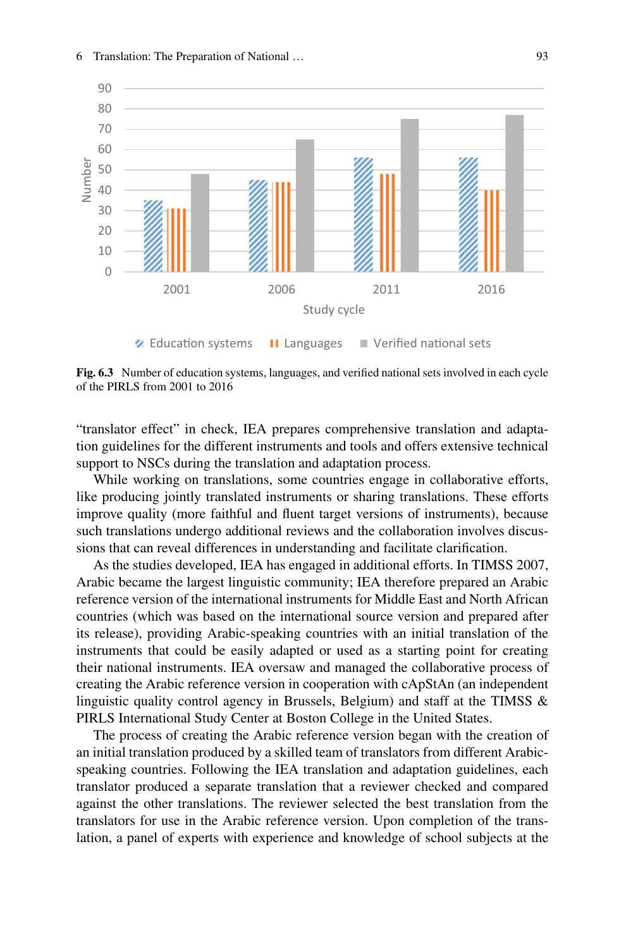

<span id="page-8-0"></span>**Fig. 6.3** Number of education systems, languages, and verified national sets involved in each cycle of the PIRLS from 2001 to 2016

"translator effect" in check, IEA prepares comprehensive translation and adaptation guidelines for the different instruments and tools and offers extensive technical support to NSCs during the translation and adaptation process.

While working on translations, some countries engage in collaborative efforts, like producing jointly translated instruments or sharing translations. These efforts improve quality (more faithful and fluent target versions of instruments), because such translations undergo additional reviews and the collaboration involves discussions that can reveal differences in understanding and facilitate clarification.

As the studies developed, IEA has engaged in additional efforts. In TIMSS 2007, Arabic became the largest linguistic community; IEA therefore prepared an Arabic reference version of the international instruments for Middle East and North African countries (which was based on the international source version and prepared after its release), providing Arabic-speaking countries with an initial translation of the instruments that could be easily adapted or used as a starting point for creating their national instruments. IEA oversaw and managed the collaborative process of creating the Arabic reference version in cooperation with cApStAn (an independent linguistic quality control agency in Brussels, Belgium) and staff at the TIMSS & PIRLS International Study Center at Boston College in the United States.

The process of creating the Arabic reference version began with the creation of an initial translation produced by a skilled team of translators from different Arabicspeaking countries. Following the IEA translation and adaptation guidelines, each translator produced a separate translation that a reviewer checked and compared against the other translations. The reviewer selected the best translation from the translators for use in the Arabic reference version. Upon completion of the translation, a panel of experts with experience and knowledge of school subjects at the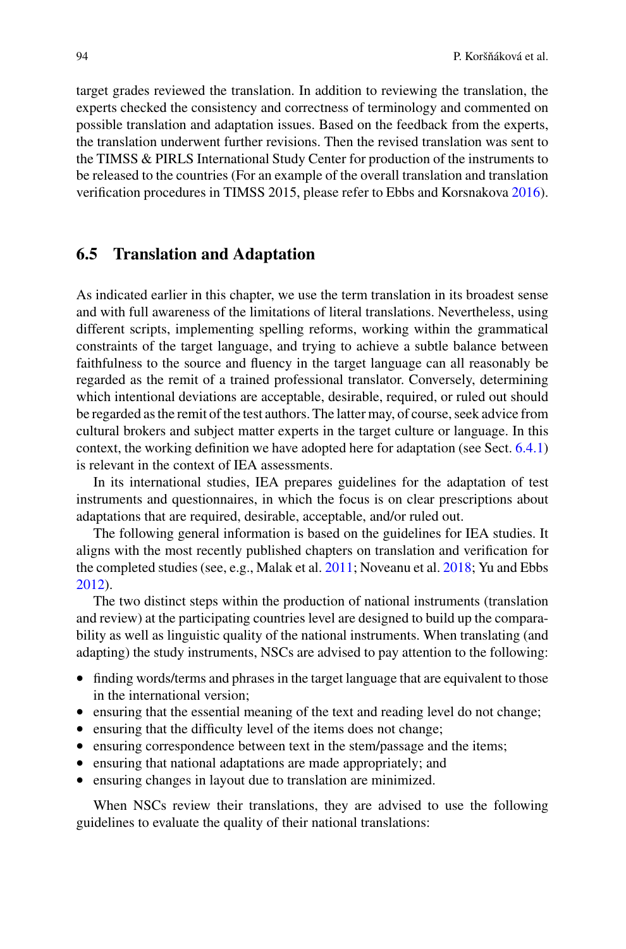target grades reviewed the translation. In addition to reviewing the translation, the experts checked the consistency and correctness of terminology and commented on possible translation and adaptation issues. Based on the feedback from the experts, the translation underwent further revisions. Then the revised translation was sent to the TIMSS & PIRLS International Study Center for production of the instruments to be released to the countries (For an example of the overall translation and translation verification procedures in TIMSS 2015, please refer to Ebbs and Korsnakova [2016\)](#page-24-10).

### **6.5 Translation and Adaptation**

As indicated earlier in this chapter, we use the term translation in its broadest sense and with full awareness of the limitations of literal translations. Nevertheless, using different scripts, implementing spelling reforms, working within the grammatical constraints of the target language, and trying to achieve a subtle balance between faithfulness to the source and fluency in the target language can all reasonably be regarded as the remit of a trained professional translator. Conversely, determining which intentional deviations are acceptable, desirable, required, or ruled out should be regarded as the remit of the test authors. The latter may, of course, seek advice from cultural brokers and subject matter experts in the target culture or language. In this context, the working definition we have adopted here for adaptation (see Sect. [6.4.1\)](#page-5-0) is relevant in the context of IEA assessments.

In its international studies, IEA prepares guidelines for the adaptation of test instruments and questionnaires, in which the focus is on clear prescriptions about adaptations that are required, desirable, acceptable, and/or ruled out.

The following general information is based on the guidelines for IEA studies. It aligns with the most recently published chapters on translation and verification for the completed studies (see, e.g., Malak et al. [2011;](#page-25-7) Noveanu et al. [2018;](#page-25-8) Yu and Ebbs [2012\)](#page-25-9).

The two distinct steps within the production of national instruments (translation and review) at the participating countries level are designed to build up the comparability as well as linguistic quality of the national instruments. When translating (and adapting) the study instruments, NSCs are advised to pay attention to the following:

- finding words/terms and phrases in the target language that are equivalent to those in the international version;
- ensuring that the essential meaning of the text and reading level do not change;
- ensuring that the difficulty level of the items does not change;
- ensuring correspondence between text in the stem/passage and the items;
- ensuring that national adaptations are made appropriately; and
- ensuring changes in layout due to translation are minimized.

When NSCs review their translations, they are advised to use the following guidelines to evaluate the quality of their national translations: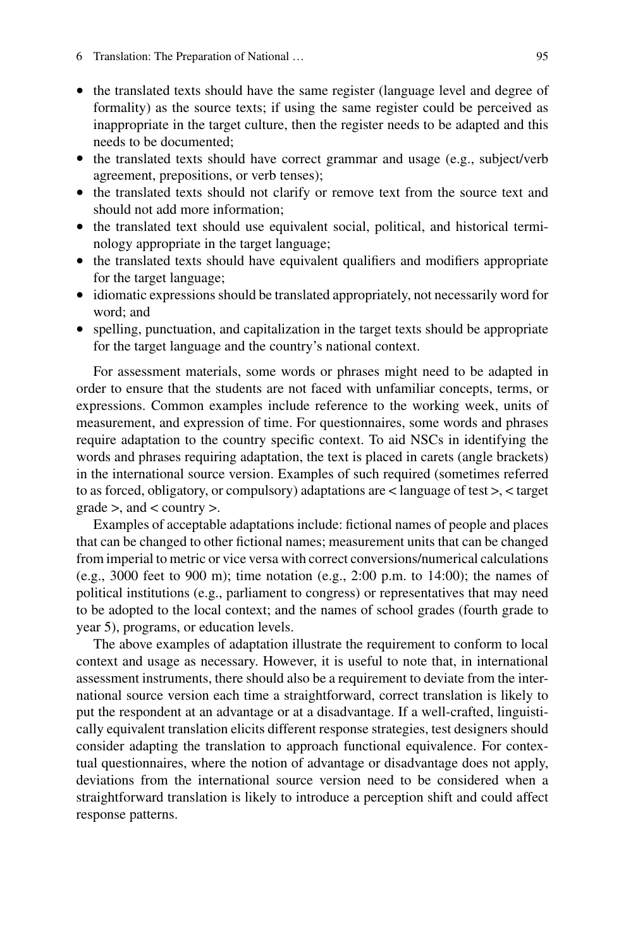- 6 Translation: The Preparation of National … 95
- the translated texts should have the same register (language level and degree of formality) as the source texts; if using the same register could be perceived as inappropriate in the target culture, then the register needs to be adapted and this needs to be documented;
- the translated texts should have correct grammar and usage (e.g., subject/verb agreement, prepositions, or verb tenses);
- the translated texts should not clarify or remove text from the source text and should not add more information;
- the translated text should use equivalent social, political, and historical terminology appropriate in the target language;
- the translated texts should have equivalent qualifiers and modifiers appropriate for the target language;
- idiomatic expressions should be translated appropriately, not necessarily word for word; and
- spelling, punctuation, and capitalization in the target texts should be appropriate for the target language and the country's national context.

For assessment materials, some words or phrases might need to be adapted in order to ensure that the students are not faced with unfamiliar concepts, terms, or expressions. Common examples include reference to the working week, units of measurement, and expression of time. For questionnaires, some words and phrases require adaptation to the country specific context. To aid NSCs in identifying the words and phrases requiring adaptation, the text is placed in carets (angle brackets) in the international source version. Examples of such required (sometimes referred to as forced, obligatory, or compulsory) adaptations are < language of test >, < target  $grade$  >, and < country >.

Examples of acceptable adaptations include: fictional names of people and places that can be changed to other fictional names; measurement units that can be changed from imperial to metric or vice versa with correct conversions/numerical calculations (e.g., 3000 feet to 900 m); time notation (e.g., 2:00 p.m. to 14:00); the names of political institutions (e.g., parliament to congress) or representatives that may need to be adopted to the local context; and the names of school grades (fourth grade to year 5), programs, or education levels.

The above examples of adaptation illustrate the requirement to conform to local context and usage as necessary. However, it is useful to note that, in international assessment instruments, there should also be a requirement to deviate from the international source version each time a straightforward, correct translation is likely to put the respondent at an advantage or at a disadvantage. If a well-crafted, linguistically equivalent translation elicits different response strategies, test designers should consider adapting the translation to approach functional equivalence. For contextual questionnaires, where the notion of advantage or disadvantage does not apply, deviations from the international source version need to be considered when a straightforward translation is likely to introduce a perception shift and could affect response patterns.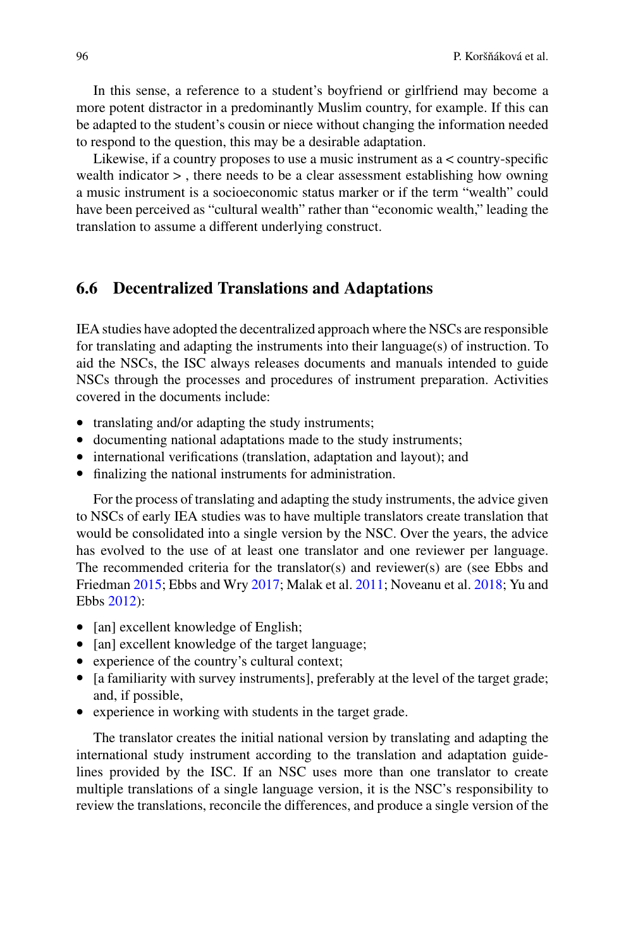In this sense, a reference to a student's boyfriend or girlfriend may become a more potent distractor in a predominantly Muslim country, for example. If this can be adapted to the student's cousin or niece without changing the information needed to respond to the question, this may be a desirable adaptation.

Likewise, if a country proposes to use a music instrument as  $a <$  country-specific wealth indicator > , there needs to be a clear assessment establishing how owning a music instrument is a socioeconomic status marker or if the term "wealth" could have been perceived as "cultural wealth" rather than "economic wealth," leading the translation to assume a different underlying construct.

#### **6.6 Decentralized Translations and Adaptations**

IEA studies have adopted the decentralized approach where the NSCs are responsible for translating and adapting the instruments into their language(s) of instruction. To aid the NSCs, the ISC always releases documents and manuals intended to guide NSCs through the processes and procedures of instrument preparation. Activities covered in the documents include:

- translating and/or adapting the study instruments;
- documenting national adaptations made to the study instruments;
- international verifications (translation, adaptation and layout); and
- finalizing the national instruments for administration.

For the process of translating and adapting the study instruments, the advice given to NSCs of early IEA studies was to have multiple translators create translation that would be consolidated into a single version by the NSC. Over the years, the advice has evolved to the use of at least one translator and one reviewer per language. The recommended criteria for the translator(s) and reviewer(s) are (see Ebbs and Friedman [2015;](#page-23-5) Ebbs and Wry [2017;](#page-24-11) Malak et al. [2011;](#page-25-7) Noveanu et al. [2018;](#page-25-8) Yu and Ebbs [2012\)](#page-25-9):

- [an] excellent knowledge of English;
- [an] excellent knowledge of the target language;
- experience of the country's cultural context;
- [a familiarity with survey instruments], preferably at the level of the target grade; and, if possible,
- experience in working with students in the target grade.

The translator creates the initial national version by translating and adapting the international study instrument according to the translation and adaptation guidelines provided by the ISC. If an NSC uses more than one translator to create multiple translations of a single language version, it is the NSC's responsibility to review the translations, reconcile the differences, and produce a single version of the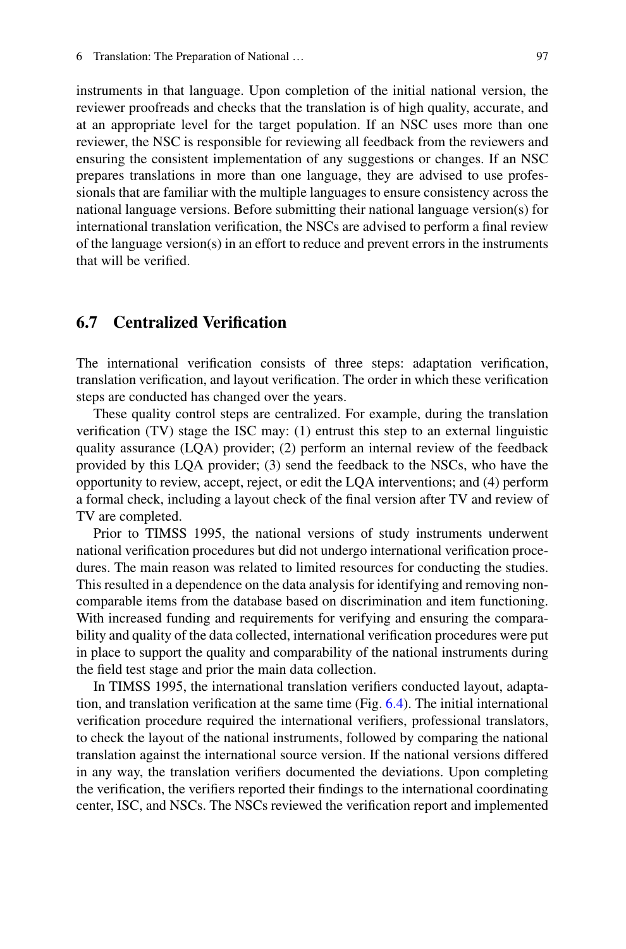instruments in that language. Upon completion of the initial national version, the reviewer proofreads and checks that the translation is of high quality, accurate, and at an appropriate level for the target population. If an NSC uses more than one reviewer, the NSC is responsible for reviewing all feedback from the reviewers and ensuring the consistent implementation of any suggestions or changes. If an NSC prepares translations in more than one language, they are advised to use professionals that are familiar with the multiple languages to ensure consistency across the national language versions. Before submitting their national language version(s) for international translation verification, the NSCs are advised to perform a final review of the language version(s) in an effort to reduce and prevent errors in the instruments that will be verified.

#### **6.7 Centralized Verification**

The international verification consists of three steps: adaptation verification, translation verification, and layout verification. The order in which these verification steps are conducted has changed over the years.

These quality control steps are centralized. For example, during the translation verification (TV) stage the ISC may: (1) entrust this step to an external linguistic quality assurance (LQA) provider; (2) perform an internal review of the feedback provided by this LQA provider; (3) send the feedback to the NSCs, who have the opportunity to review, accept, reject, or edit the LQA interventions; and (4) perform a formal check, including a layout check of the final version after TV and review of TV are completed.

Prior to TIMSS 1995, the national versions of study instruments underwent national verification procedures but did not undergo international verification procedures. The main reason was related to limited resources for conducting the studies. This resulted in a dependence on the data analysis for identifying and removing noncomparable items from the database based on discrimination and item functioning. With increased funding and requirements for verifying and ensuring the comparability and quality of the data collected, international verification procedures were put in place to support the quality and comparability of the national instruments during the field test stage and prior the main data collection.

In TIMSS 1995, the international translation verifiers conducted layout, adaptation, and translation verification at the same time (Fig. [6.4\)](#page-13-0). The initial international verification procedure required the international verifiers, professional translators, to check the layout of the national instruments, followed by comparing the national translation against the international source version. If the national versions differed in any way, the translation verifiers documented the deviations. Upon completing the verification, the verifiers reported their findings to the international coordinating center, ISC, and NSCs. The NSCs reviewed the verification report and implemented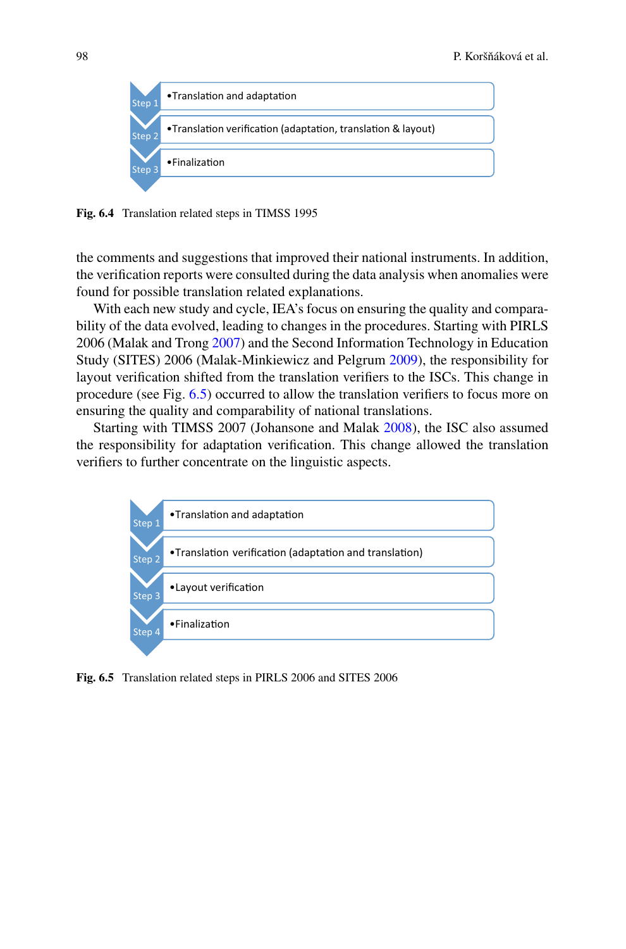

<span id="page-13-0"></span>**Fig. 6.4** Translation related steps in TIMSS 1995

the comments and suggestions that improved their national instruments. In addition, the verification reports were consulted during the data analysis when anomalies were found for possible translation related explanations.

With each new study and cycle, IEA's focus on ensuring the quality and comparability of the data evolved, leading to changes in the procedures. Starting with PIRLS 2006 (Malak and Trong [2007\)](#page-25-10) and the Second Information Technology in Education Study (SITES) 2006 (Malak-Minkiewicz and Pelgrum [2009\)](#page-25-11), the responsibility for layout verification shifted from the translation verifiers to the ISCs. This change in procedure (see Fig. [6.5\)](#page-13-1) occurred to allow the translation verifiers to focus more on ensuring the quality and comparability of national translations.

Starting with TIMSS 2007 (Johansone and Malak [2008\)](#page-24-12), the ISC also assumed the responsibility for adaptation verification. This change allowed the translation verifiers to further concentrate on the linguistic aspects.



<span id="page-13-1"></span>**Fig. 6.5** Translation related steps in PIRLS 2006 and SITES 2006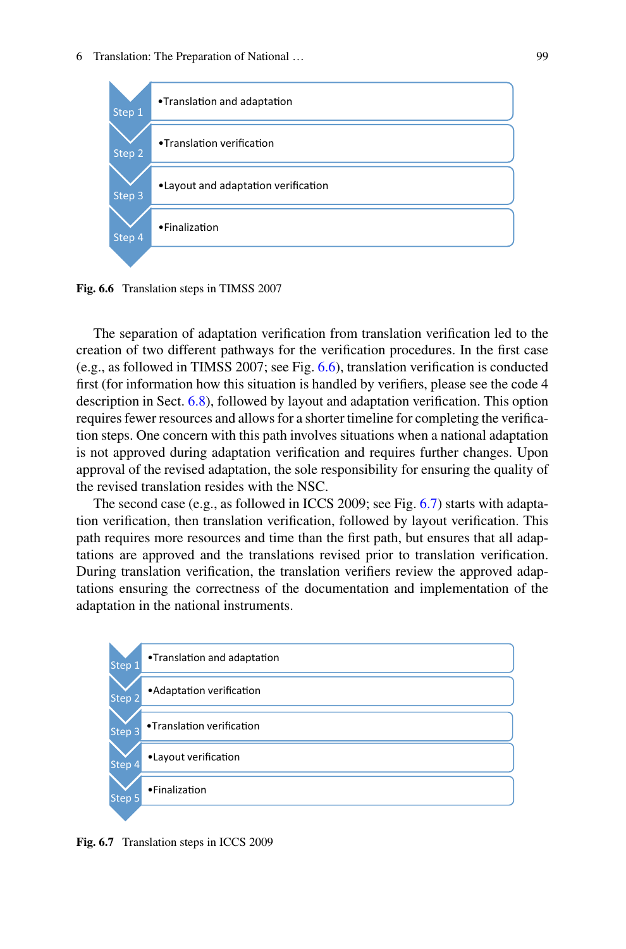

<span id="page-14-0"></span>**Fig. 6.6** Translation steps in TIMSS 2007

The separation of adaptation verification from translation verification led to the creation of two different pathways for the verification procedures. In the first case (e.g., as followed in TIMSS 2007; see Fig. [6.6\)](#page-14-0), translation verification is conducted first (for information how this situation is handled by verifiers, please see the code 4 description in Sect. [6.8\)](#page-15-0), followed by layout and adaptation verification. This option requires fewer resources and allows for a shorter timeline for completing the verification steps. One concern with this path involves situations when a national adaptation is not approved during adaptation verification and requires further changes. Upon approval of the revised adaptation, the sole responsibility for ensuring the quality of the revised translation resides with the NSC.

The second case (e.g., as followed in ICCS 2009; see Fig. [6.7\)](#page-14-1) starts with adaptation verification, then translation verification, followed by layout verification. This path requires more resources and time than the first path, but ensures that all adaptations are approved and the translations revised prior to translation verification. During translation verification, the translation verifiers review the approved adaptations ensuring the correctness of the documentation and implementation of the adaptation in the national instruments.



<span id="page-14-1"></span>**Fig. 6.7** Translation steps in ICCS 2009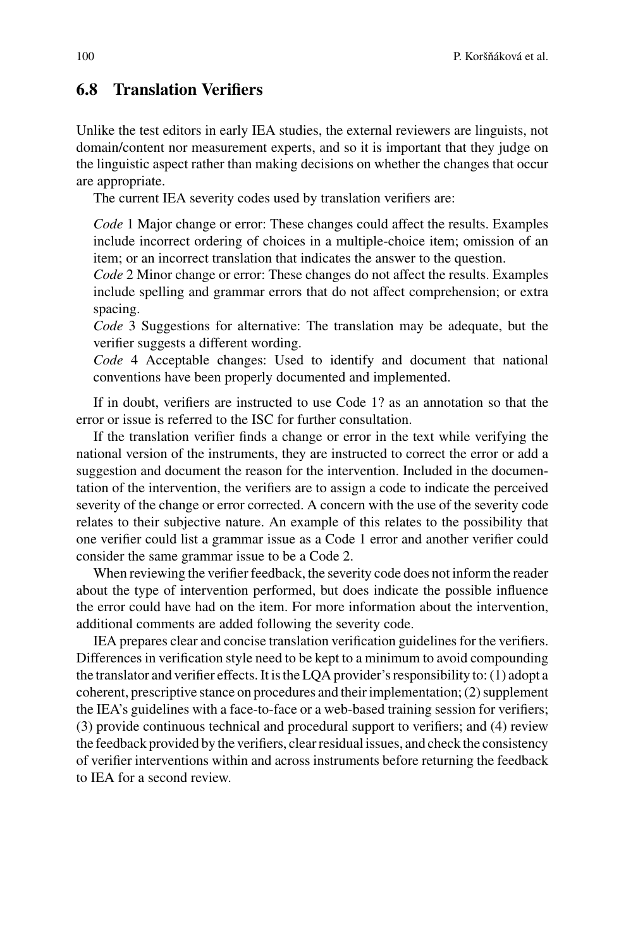# <span id="page-15-0"></span>**6.8 Translation Verifiers**

Unlike the test editors in early IEA studies, the external reviewers are linguists, not domain/content nor measurement experts, and so it is important that they judge on the linguistic aspect rather than making decisions on whether the changes that occur are appropriate.

The current IEA severity codes used by translation verifiers are:

*Code* 1 Major change or error: These changes could affect the results. Examples include incorrect ordering of choices in a multiple-choice item; omission of an item; or an incorrect translation that indicates the answer to the question.

*Code* 2 Minor change or error: These changes do not affect the results. Examples include spelling and grammar errors that do not affect comprehension; or extra spacing.

*Code* 3 Suggestions for alternative: The translation may be adequate, but the verifier suggests a different wording.

*Code* 4 Acceptable changes: Used to identify and document that national conventions have been properly documented and implemented.

If in doubt, verifiers are instructed to use Code 1? as an annotation so that the error or issue is referred to the ISC for further consultation.

If the translation verifier finds a change or error in the text while verifying the national version of the instruments, they are instructed to correct the error or add a suggestion and document the reason for the intervention. Included in the documentation of the intervention, the verifiers are to assign a code to indicate the perceived severity of the change or error corrected. A concern with the use of the severity code relates to their subjective nature. An example of this relates to the possibility that one verifier could list a grammar issue as a Code 1 error and another verifier could consider the same grammar issue to be a Code 2.

When reviewing the verifier feedback, the severity code does not inform the reader about the type of intervention performed, but does indicate the possible influence the error could have had on the item. For more information about the intervention, additional comments are added following the severity code.

IEA prepares clear and concise translation verification guidelines for the verifiers. Differences in verification style need to be kept to a minimum to avoid compounding the translator and verifier effects. It is the LQA provider's responsibility to: (1) adopt a coherent, prescriptive stance on procedures and their implementation; (2) supplement the IEA's guidelines with a face-to-face or a web-based training session for verifiers; (3) provide continuous technical and procedural support to verifiers; and (4) review the feedback provided by the verifiers, clear residual issues, and check the consistency of verifier interventions within and across instruments before returning the feedback to IEA for a second review.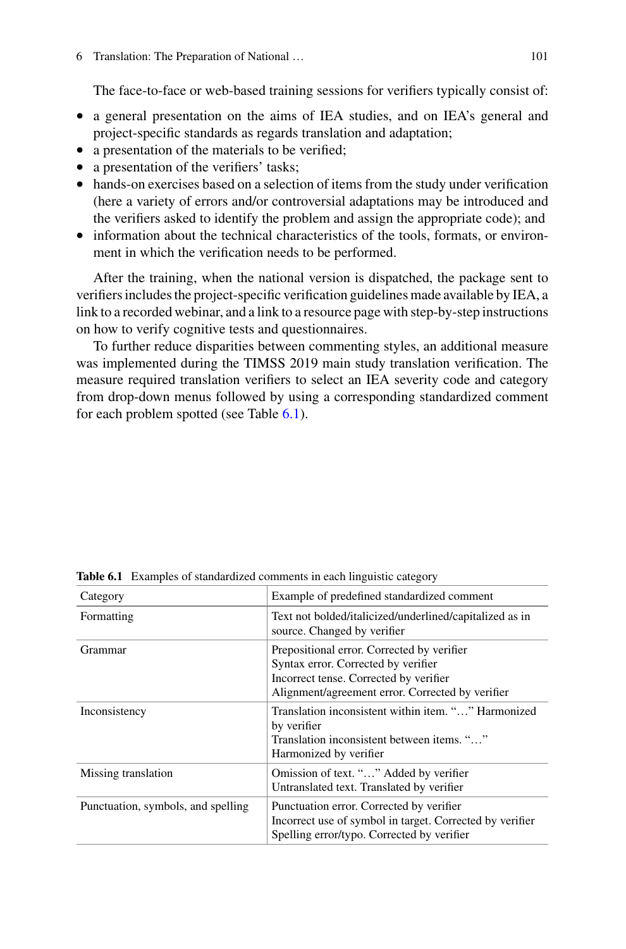6 Translation: The Preparation of National … 101

The face-to-face or web-based training sessions for verifiers typically consist of:

- a general presentation on the aims of IEA studies, and on IEA's general and project-specific standards as regards translation and adaptation;
- a presentation of the materials to be verified;
- a presentation of the verifiers' tasks;
- hands-on exercises based on a selection of items from the study under verification (here a variety of errors and/or controversial adaptations may be introduced and the verifiers asked to identify the problem and assign the appropriate code); and
- information about the technical characteristics of the tools, formats, or environment in which the verification needs to be performed.

After the training, when the national version is dispatched, the package sent to verifiers includes the project-specific verification guidelines made available by IEA, a link to a recorded webinar, and a link to a resource page with step-by-step instructions on how to verify cognitive tests and questionnaires.

To further reduce disparities between commenting styles, an additional measure was implemented during the TIMSS 2019 main study translation verification. The measure required translation verifiers to select an IEA severity code and category from drop-down menus followed by using a corresponding standardized comment for each problem spotted (see Table [6.1\)](#page-16-0).

| Category                           | Example of predefined standardized comment                                                                                                                                      |
|------------------------------------|---------------------------------------------------------------------------------------------------------------------------------------------------------------------------------|
| Formatting                         | Text not bolded/italicized/underlined/capitalized as in<br>source. Changed by verifier                                                                                          |
| Grammar                            | Prepositional error. Corrected by verifier<br>Syntax error. Corrected by verifier<br>Incorrect tense. Corrected by verifier<br>Alignment/agreement error. Corrected by verifier |
| Inconsistency                      | Translation inconsistent within item. "" Harmonized<br>by verifier<br>Translation inconsistent between items. ""<br>Harmonized by verifier                                      |
| Missing translation                | Omission of text. "" Added by verifier<br>Untranslated text. Translated by verifier                                                                                             |
| Punctuation, symbols, and spelling | Punctuation error. Corrected by verifier<br>Incorrect use of symbol in target. Corrected by verifier<br>Spelling error/typo. Corrected by verifier                              |

<span id="page-16-0"></span>**Table 6.1** Examples of standardized comments in each linguistic category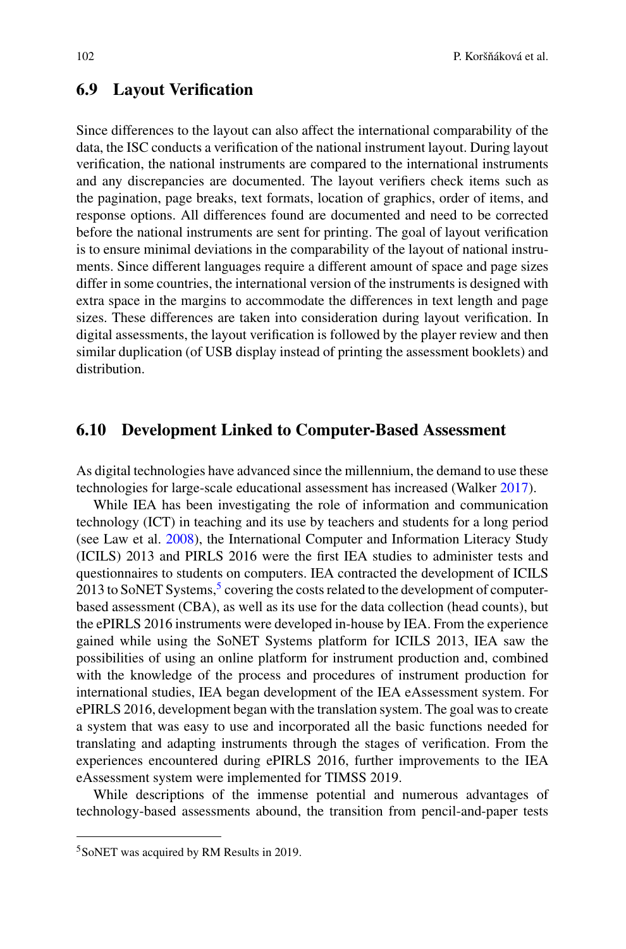#### **6.9 Layout Verification**

Since differences to the layout can also affect the international comparability of the data, the ISC conducts a verification of the national instrument layout. During layout verification, the national instruments are compared to the international instruments and any discrepancies are documented. The layout verifiers check items such as the pagination, page breaks, text formats, location of graphics, order of items, and response options. All differences found are documented and need to be corrected before the national instruments are sent for printing. The goal of layout verification is to ensure minimal deviations in the comparability of the layout of national instruments. Since different languages require a different amount of space and page sizes differ in some countries, the international version of the instruments is designed with extra space in the margins to accommodate the differences in text length and page sizes. These differences are taken into consideration during layout verification. In digital assessments, the layout verification is followed by the player review and then similar duplication (of USB display instead of printing the assessment booklets) and distribution.

### **6.10 Development Linked to Computer-Based Assessment**

As digital technologies have advanced since the millennium, the demand to use these technologies for large-scale educational assessment has increased (Walker [2017\)](#page-25-12).

While IEA has been investigating the role of information and communication technology (ICT) in teaching and its use by teachers and students for a long period (see Law et al. [2008\)](#page-25-13), the International Computer and Information Literacy Study (ICILS) 2013 and PIRLS 2016 were the first IEA studies to administer tests and questionnaires to students on computers. IEA contracted the development of ICILS  $2013$  to SoNET Systems,<sup>[5](#page-17-0)</sup> covering the costs related to the development of computerbased assessment (CBA), as well as its use for the data collection (head counts), but the ePIRLS 2016 instruments were developed in-house by IEA. From the experience gained while using the SoNET Systems platform for ICILS 2013, IEA saw the possibilities of using an online platform for instrument production and, combined with the knowledge of the process and procedures of instrument production for international studies, IEA began development of the IEA eAssessment system. For ePIRLS 2016, development began with the translation system. The goal was to create a system that was easy to use and incorporated all the basic functions needed for translating and adapting instruments through the stages of verification. From the experiences encountered during ePIRLS 2016, further improvements to the IEA eAssessment system were implemented for TIMSS 2019.

While descriptions of the immense potential and numerous advantages of technology-based assessments abound, the transition from pencil-and-paper tests

<span id="page-17-0"></span><sup>5</sup>SoNET was acquired by RM Results in 2019.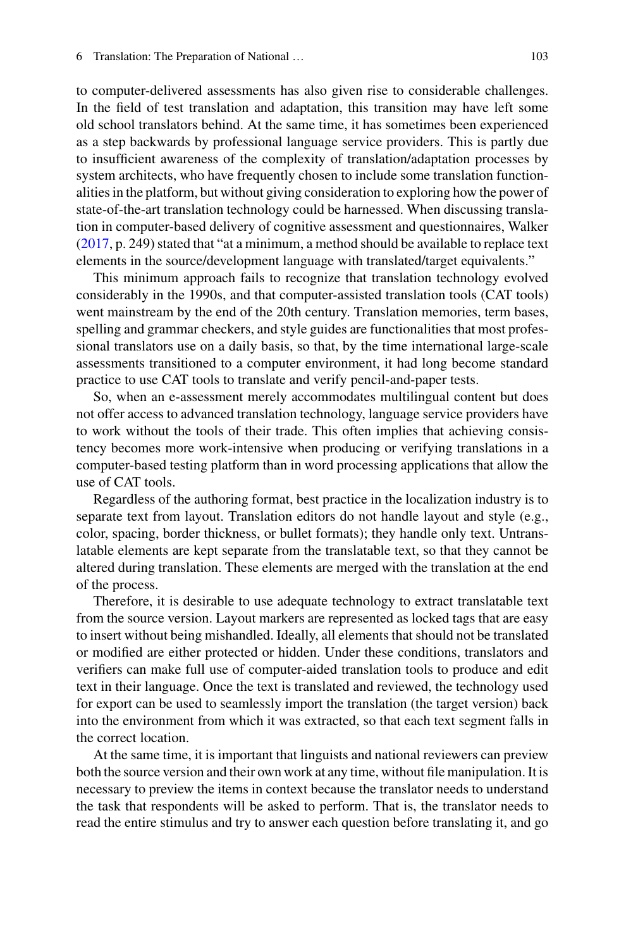to computer-delivered assessments has also given rise to considerable challenges. In the field of test translation and adaptation, this transition may have left some old school translators behind. At the same time, it has sometimes been experienced as a step backwards by professional language service providers. This is partly due to insufficient awareness of the complexity of translation/adaptation processes by system architects, who have frequently chosen to include some translation functionalities in the platform, but without giving consideration to exploring how the power of state-of-the-art translation technology could be harnessed. When discussing translation in computer-based delivery of cognitive assessment and questionnaires, Walker [\(2017,](#page-25-12) p. 249) stated that "at a minimum, a method should be available to replace text elements in the source/development language with translated/target equivalents."

This minimum approach fails to recognize that translation technology evolved considerably in the 1990s, and that computer-assisted translation tools (CAT tools) went mainstream by the end of the 20th century. Translation memories, term bases, spelling and grammar checkers, and style guides are functionalities that most professional translators use on a daily basis, so that, by the time international large-scale assessments transitioned to a computer environment, it had long become standard practice to use CAT tools to translate and verify pencil-and-paper tests.

So, when an e-assessment merely accommodates multilingual content but does not offer access to advanced translation technology, language service providers have to work without the tools of their trade. This often implies that achieving consistency becomes more work-intensive when producing or verifying translations in a computer-based testing platform than in word processing applications that allow the use of CAT tools.

Regardless of the authoring format, best practice in the localization industry is to separate text from layout. Translation editors do not handle layout and style (e.g., color, spacing, border thickness, or bullet formats); they handle only text. Untranslatable elements are kept separate from the translatable text, so that they cannot be altered during translation. These elements are merged with the translation at the end of the process.

Therefore, it is desirable to use adequate technology to extract translatable text from the source version. Layout markers are represented as locked tags that are easy to insert without being mishandled. Ideally, all elements that should not be translated or modified are either protected or hidden. Under these conditions, translators and verifiers can make full use of computer-aided translation tools to produce and edit text in their language. Once the text is translated and reviewed, the technology used for export can be used to seamlessly import the translation (the target version) back into the environment from which it was extracted, so that each text segment falls in the correct location.

At the same time, it is important that linguists and national reviewers can preview both the source version and their own work at any time, without file manipulation. It is necessary to preview the items in context because the translator needs to understand the task that respondents will be asked to perform. That is, the translator needs to read the entire stimulus and try to answer each question before translating it, and go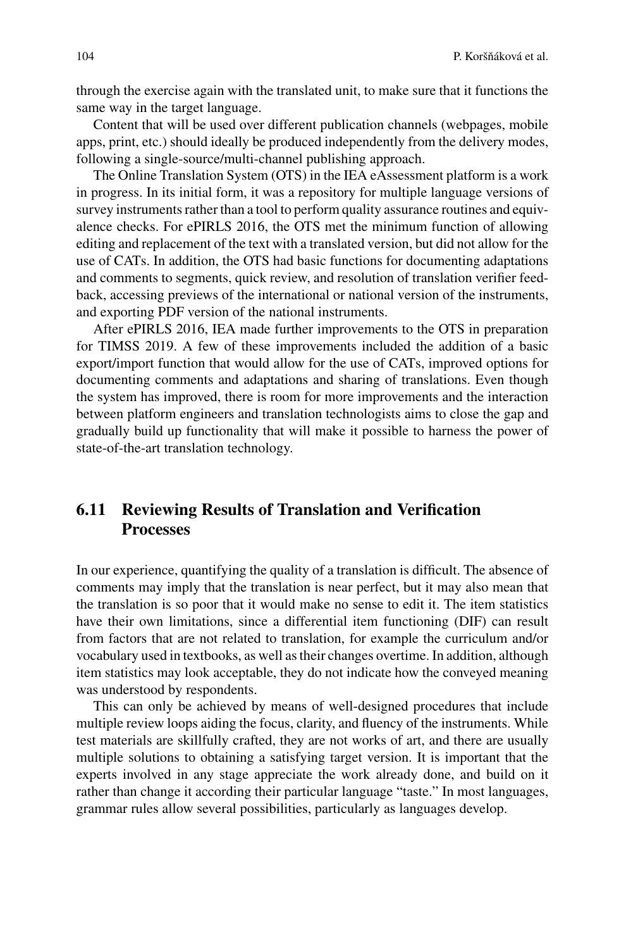through the exercise again with the translated unit, to make sure that it functions the same way in the target language.

Content that will be used over different publication channels (webpages, mobile apps, print, etc.) should ideally be produced independently from the delivery modes, following a single-source/multi-channel publishing approach.

The Online Translation System (OTS) in the IEA eAssessment platform is a work in progress. In its initial form, it was a repository for multiple language versions of survey instruments rather than a tool to perform quality assurance routines and equivalence checks. For ePIRLS 2016, the OTS met the minimum function of allowing editing and replacement of the text with a translated version, but did not allow for the use of CATs. In addition, the OTS had basic functions for documenting adaptations and comments to segments, quick review, and resolution of translation verifier feedback, accessing previews of the international or national version of the instruments, and exporting PDF version of the national instruments.

After ePIRLS 2016, IEA made further improvements to the OTS in preparation for TIMSS 2019. A few of these improvements included the addition of a basic export/import function that would allow for the use of CATs, improved options for documenting comments and adaptations and sharing of translations. Even though the system has improved, there is room for more improvements and the interaction between platform engineers and translation technologists aims to close the gap and gradually build up functionality that will make it possible to harness the power of state-of-the-art translation technology.

## **6.11 Reviewing Results of Translation and Verification Processes**

In our experience, quantifying the quality of a translation is difficult. The absence of comments may imply that the translation is near perfect, but it may also mean that the translation is so poor that it would make no sense to edit it. The item statistics have their own limitations, since a differential item functioning (DIF) can result from factors that are not related to translation, for example the curriculum and/or vocabulary used in textbooks, as well as their changes overtime. In addition, although item statistics may look acceptable, they do not indicate how the conveyed meaning was understood by respondents.

This can only be achieved by means of well-designed procedures that include multiple review loops aiding the focus, clarity, and fluency of the instruments. While test materials are skillfully crafted, they are not works of art, and there are usually multiple solutions to obtaining a satisfying target version. It is important that the experts involved in any stage appreciate the work already done, and build on it rather than change it according their particular language "taste." In most languages, grammar rules allow several possibilities, particularly as languages develop.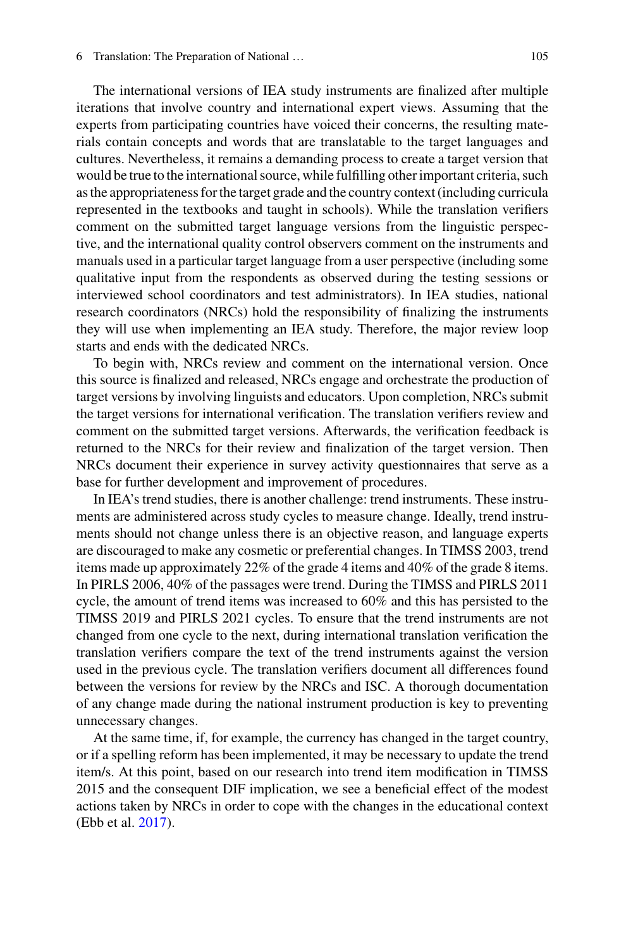The international versions of IEA study instruments are finalized after multiple iterations that involve country and international expert views. Assuming that the experts from participating countries have voiced their concerns, the resulting materials contain concepts and words that are translatable to the target languages and cultures. Nevertheless, it remains a demanding process to create a target version that would be true to the international source, while fulfilling other important criteria, such as the appropriateness for the target grade and the country context (including curricula represented in the textbooks and taught in schools). While the translation verifiers comment on the submitted target language versions from the linguistic perspective, and the international quality control observers comment on the instruments and manuals used in a particular target language from a user perspective (including some qualitative input from the respondents as observed during the testing sessions or interviewed school coordinators and test administrators). In IEA studies, national research coordinators (NRCs) hold the responsibility of finalizing the instruments they will use when implementing an IEA study. Therefore, the major review loop starts and ends with the dedicated NRCs.

To begin with, NRCs review and comment on the international version. Once this source is finalized and released, NRCs engage and orchestrate the production of target versions by involving linguists and educators. Upon completion, NRCs submit the target versions for international verification. The translation verifiers review and comment on the submitted target versions. Afterwards, the verification feedback is returned to the NRCs for their review and finalization of the target version. Then NRCs document their experience in survey activity questionnaires that serve as a base for further development and improvement of procedures.

In IEA's trend studies, there is another challenge: trend instruments. These instruments are administered across study cycles to measure change. Ideally, trend instruments should not change unless there is an objective reason, and language experts are discouraged to make any cosmetic or preferential changes. In TIMSS 2003, trend items made up approximately 22% of the grade 4 items and 40% of the grade 8 items. In PIRLS 2006, 40% of the passages were trend. During the TIMSS and PIRLS 2011 cycle, the amount of trend items was increased to  $60\%$  and this has persisted to the TIMSS 2019 and PIRLS 2021 cycles. To ensure that the trend instruments are not changed from one cycle to the next, during international translation verification the translation verifiers compare the text of the trend instruments against the version used in the previous cycle. The translation verifiers document all differences found between the versions for review by the NRCs and ISC. A thorough documentation of any change made during the national instrument production is key to preventing unnecessary changes.

At the same time, if, for example, the currency has changed in the target country, or if a spelling reform has been implemented, it may be necessary to update the trend item/s. At this point, based on our research into trend item modification in TIMSS 2015 and the consequent DIF implication, we see a beneficial effect of the modest actions taken by NRCs in order to cope with the changes in the educational context (Ebb et al. [2017\)](#page-24-13).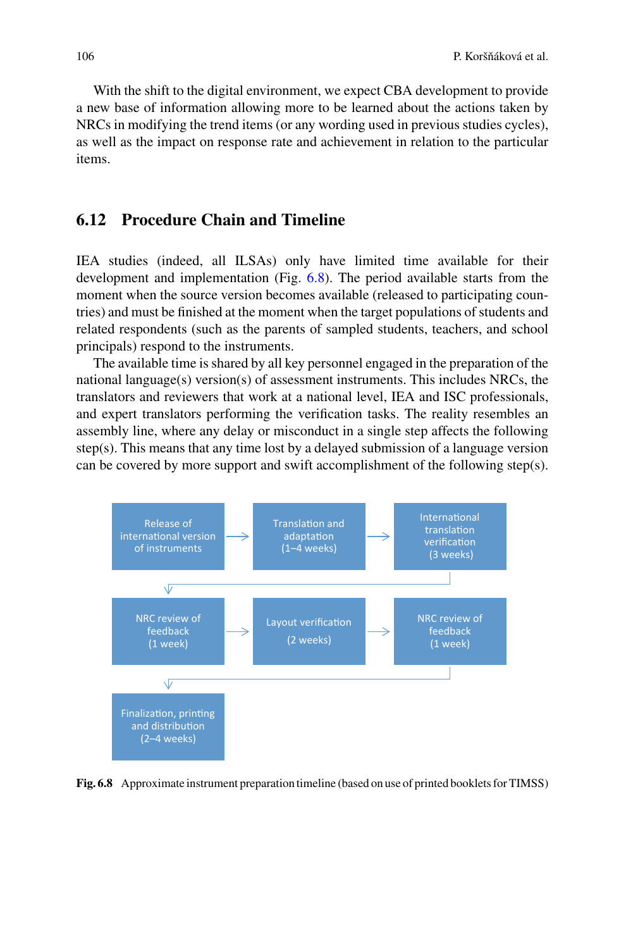With the shift to the digital environment, we expect CBA development to provide a new base of information allowing more to be learned about the actions taken by NRCs in modifying the trend items (or any wording used in previous studies cycles), as well as the impact on response rate and achievement in relation to the particular items.

#### **6.12 Procedure Chain and Timeline**

IEA studies (indeed, all ILSAs) only have limited time available for their development and implementation (Fig. [6.8\)](#page-21-0). The period available starts from the moment when the source version becomes available (released to participating countries) and must be finished at the moment when the target populations of students and related respondents (such as the parents of sampled students, teachers, and school principals) respond to the instruments.

The available time is shared by all key personnel engaged in the preparation of the national language(s) version(s) of assessment instruments. This includes NRCs, the translators and reviewers that work at a national level, IEA and ISC professionals, and expert translators performing the verification tasks. The reality resembles an assembly line, where any delay or misconduct in a single step affects the following step(s). This means that any time lost by a delayed submission of a language version can be covered by more support and swift accomplishment of the following step(s).



<span id="page-21-0"></span>**Fig. 6.8** Approximate instrument preparation timeline (based on use of printed booklets for TIMSS)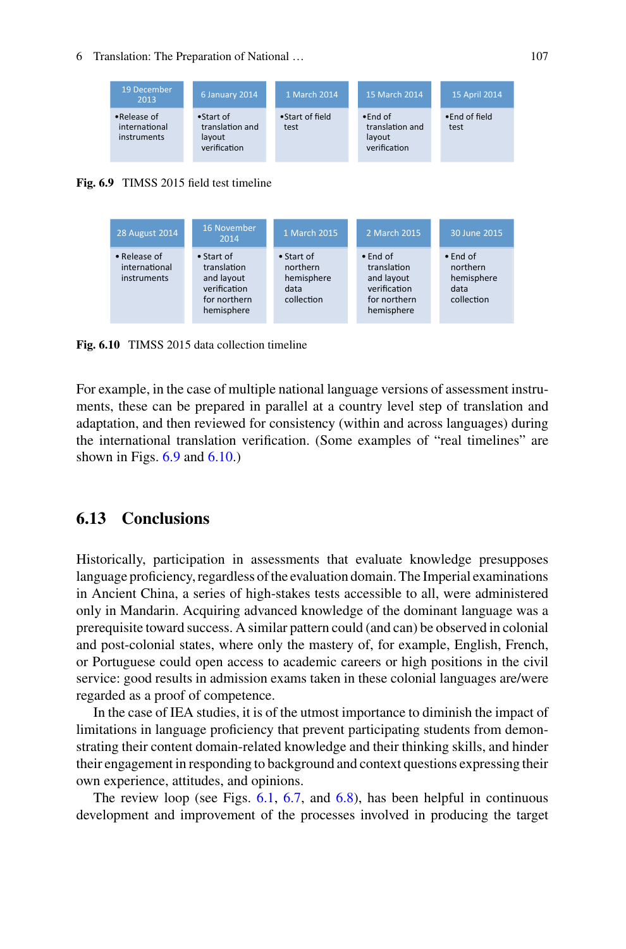6 Translation: The Preparation of National … 107



<span id="page-22-0"></span>**Fig. 6.9** TIMSS 2015 field test timeline



<span id="page-22-1"></span>**Fig. 6.10** TIMSS 2015 data collection timeline

For example, in the case of multiple national language versions of assessment instruments, these can be prepared in parallel at a country level step of translation and adaptation, and then reviewed for consistency (within and across languages) during the international translation verification. (Some examples of "real timelines" are shown in Figs.  $6.9$  and  $6.10$ .)

### **6.13 Conclusions**

Historically, participation in assessments that evaluate knowledge presupposes language proficiency, regardless of the evaluation domain. The Imperial examinations in Ancient China, a series of high-stakes tests accessible to all, were administered only in Mandarin. Acquiring advanced knowledge of the dominant language was a prerequisite toward success. A similar pattern could (and can) be observed in colonial and post-colonial states, where only the mastery of, for example, English, French, or Portuguese could open access to academic careers or high positions in the civil service: good results in admission exams taken in these colonial languages are/were regarded as a proof of competence.

In the case of IEA studies, it is of the utmost importance to diminish the impact of limitations in language proficiency that prevent participating students from demonstrating their content domain-related knowledge and their thinking skills, and hinder their engagement in responding to background and context questions expressing their own experience, attitudes, and opinions.

The review loop (see Figs.  $6.1, 6.7,$  $6.1, 6.7,$  $6.1, 6.7,$  and  $6.8$ ), has been helpful in continuous development and improvement of the processes involved in producing the target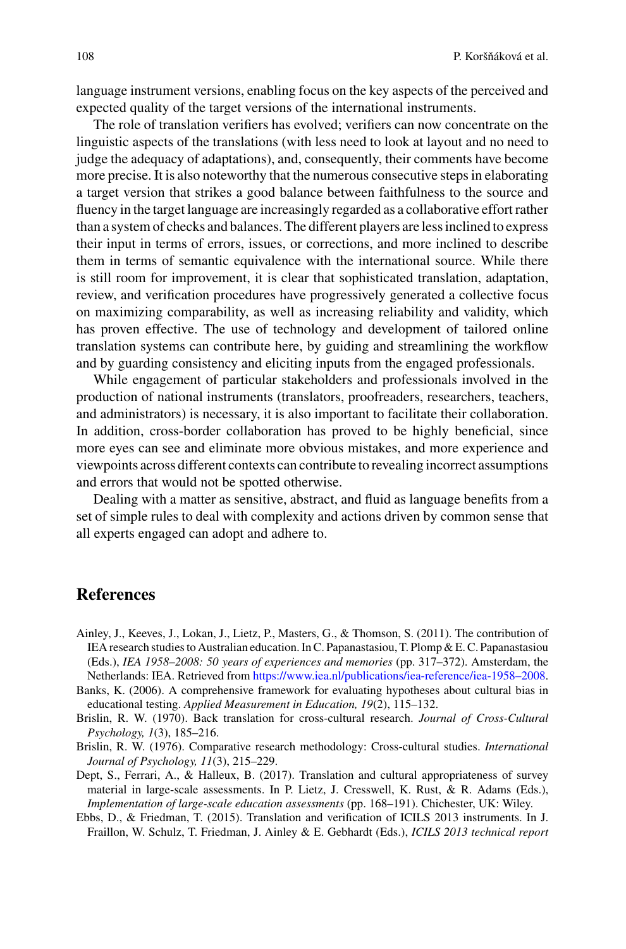language instrument versions, enabling focus on the key aspects of the perceived and expected quality of the target versions of the international instruments.

The role of translation verifiers has evolved; verifiers can now concentrate on the linguistic aspects of the translations (with less need to look at layout and no need to judge the adequacy of adaptations), and, consequently, their comments have become more precise. It is also noteworthy that the numerous consecutive steps in elaborating a target version that strikes a good balance between faithfulness to the source and fluency in the target language are increasingly regarded as a collaborative effort rather than a system of checks and balances. The different players are less inclined to express their input in terms of errors, issues, or corrections, and more inclined to describe them in terms of semantic equivalence with the international source. While there is still room for improvement, it is clear that sophisticated translation, adaptation, review, and verification procedures have progressively generated a collective focus on maximizing comparability, as well as increasing reliability and validity, which has proven effective. The use of technology and development of tailored online translation systems can contribute here, by guiding and streamlining the workflow and by guarding consistency and eliciting inputs from the engaged professionals.

While engagement of particular stakeholders and professionals involved in the production of national instruments (translators, proofreaders, researchers, teachers, and administrators) is necessary, it is also important to facilitate their collaboration. In addition, cross-border collaboration has proved to be highly beneficial, since more eyes can see and eliminate more obvious mistakes, and more experience and viewpoints across different contexts can contribute to revealing incorrect assumptions and errors that would not be spotted otherwise.

Dealing with a matter as sensitive, abstract, and fluid as language benefits from a set of simple rules to deal with complexity and actions driven by common sense that all experts engaged can adopt and adhere to.

#### **References**

- <span id="page-23-2"></span>Ainley, J., Keeves, J., Lokan, J., Lietz, P., Masters, G., & Thomson, S. (2011). The contribution of IEA research studies to Australian education. In C. Papanastasiou, T. Plomp & E. C. Papanastasiou (Eds.), *IEA 1958–2008: 50 years of experiences and memories* (pp. 317–372). Amsterdam, the Netherlands: IEA. Retrieved from [https://www.iea.nl/publications/iea-reference/iea-1958–2008.](https://www.iea.nl/publications/iea-reference/iea-1958%e2%80%932008)
- <span id="page-23-4"></span>Banks, K. (2006). A comprehensive framework for evaluating hypotheses about cultural bias in educational testing. *Applied Measurement in Education, 19*(2), 115–132.
- <span id="page-23-0"></span>Brislin, R. W. (1970). Back translation for cross-cultural research. *Journal of Cross-Cultural Psychology, 1*(3), 185–216.
- <span id="page-23-1"></span>Brislin, R. W. (1976). Comparative research methodology: Cross-cultural studies. *International Journal of Psychology, 11*(3), 215–229.
- <span id="page-23-3"></span>Dept, S., Ferrari, A., & Halleux, B. (2017). Translation and cultural appropriateness of survey material in large-scale assessments. In P. Lietz, J. Cresswell, K. Rust, & R. Adams (Eds.), *Implementation of large-scale education assessments* (pp. 168–191). Chichester, UK: Wiley.
- <span id="page-23-5"></span>Ebbs, D., & Friedman, T. (2015). Translation and verification of ICILS 2013 instruments. In J. Fraillon, W. Schulz, T. Friedman, J. Ainley & E. Gebhardt (Eds.), *ICILS 2013 technical report*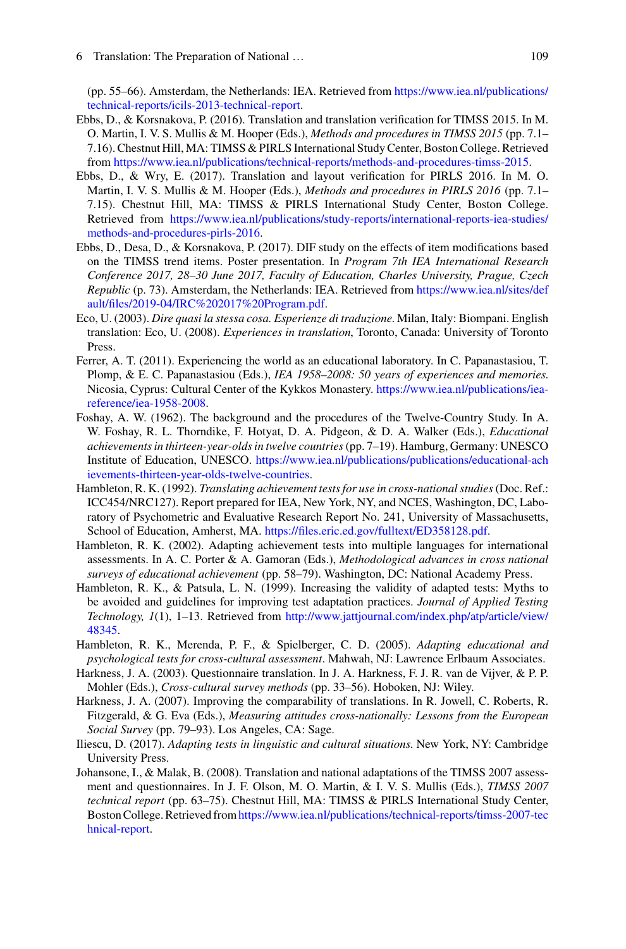[\(pp. 55–66\). Amsterdam, the Netherlands: IEA. Retrieved from](https://www.iea.nl/publications/technical-reports/icils-2013-technical-report) https://www.iea.nl/publications/ technical-reports/icils-2013-technical-report.

- <span id="page-24-10"></span>Ebbs, D., & Korsnakova, P. (2016). Translation and translation verification for TIMSS 2015. In M. O. Martin, I. V. S. Mullis & M. Hooper (Eds.), *Methods and procedures in TIMSS 2015* (pp. 7.1– 7.16). Chestnut Hill, MA: TIMSS & PIRLS International Study Center, Boston College. Retrieved from [https://www.iea.nl/publications/technical-reports/methods-and-procedures-timss-2015.](https://www.iea.nl/publications/technical-reports/methods-and-procedures-timss-2015)
- <span id="page-24-11"></span>Ebbs, D., & Wry, E. (2017). Translation and layout verification for PIRLS 2016. In M. O. Martin, I. V. S. Mullis & M. Hooper (Eds.), *Methods and procedures in PIRLS 2016* (pp. 7.1– 7.15). Chestnut Hill, MA: TIMSS & PIRLS International Study Center, Boston College. Retrieved from [https://www.iea.nl/publications/study-reports/international-reports-iea-studies/](https://www.iea.nl/publications/study-reports/international-reports-iea-studies/methods-and-procedures-pirls-2016) methods-and-procedures-pirls-2016.
- <span id="page-24-13"></span>Ebbs, D., Desa, D., & Korsnakova, P. (2017). DIF study on the effects of item modifications based on the TIMSS trend items. Poster presentation. In *Program 7th IEA International Research Conference 2017, 28–30 June 2017, Faculty of Education, Charles University, Prague, Czech Republic* [\(p. 73\). Amsterdam, the Netherlands: IEA. Retrieved from](https://www.iea.nl/sites/default/files/2019-04/IRC%202017%20Program.pdf) https://www.iea.nl/sites/def ault/files/2019-04/IRC%202017%20Program.pdf.
- <span id="page-24-9"></span>Eco, U. (2003). *Dire quasi la stessa cosa. Esperienze di traduzione*. Milan, Italy: Biompani. English translation: Eco, U. (2008). *Experiences in translation*, Toronto, Canada: University of Toronto Press.
- <span id="page-24-1"></span>Ferrer, A. T. (2011). Experiencing the world as an educational laboratory. In C. Papanastasiou, T. Plomp, & E. C. Papanastasiou (Eds.), *IEA 1958–2008: 50 years of experiences and memories*. [Nicosia, Cyprus: Cultural Center of the Kykkos Monastery.](https://www.iea.nl/publications/iea-reference/iea-1958-2008) https://www.iea.nl/publications/ieareference/iea-1958-2008.
- <span id="page-24-0"></span>Foshay, A. W. (1962). The background and the procedures of the Twelve-Country Study. In A. W. Foshay, R. L. Thorndike, F. Hotyat, D. A. Pidgeon, & D. A. Walker (Eds.), *Educational achievements in thirteen-year-olds in twelve countries*(pp. 7–19). Hamburg, Germany: UNESCO Institute of Education, UNESCO. [https://www.iea.nl/publications/publications/educational-ach](https://www.iea.nl/publications/publications/educational-achievements-thirteen-year-olds-twelve-countries) ievements-thirteen-year-olds-twelve-countries.
- <span id="page-24-2"></span>Hambleton, R. K. (1992). *Translating achievement tests for use in cross-national studies*(Doc. Ref.: ICC454/NRC127). Report prepared for IEA, New York, NY, and NCES, Washington, DC, Laboratory of Psychometric and Evaluative Research Report No. 241, University of Massachusetts, School of Education, Amherst, MA. [https://files.eric.ed.gov/fulltext/ED358128.pdf.](https://files.eric.ed.gov/fulltext/ED358128.pdf)
- <span id="page-24-4"></span>Hambleton, R. K. (2002). Adapting achievement tests into multiple languages for international assessments. In A. C. Porter & A. Gamoran (Eds.), *Methodological advances in cross national surveys of educational achievement* (pp. 58–79). Washington, DC: National Academy Press.
- <span id="page-24-3"></span>Hambleton, R. K., & Patsula, L. N. (1999). Increasing the validity of adapted tests: Myths to be avoided and guidelines for improving test adaptation practices. *Journal of Applied Testing Technology, 1*(1), 1–13. Retrieved from [http://www.jattjournal.com/index.php/atp/article/view/](http://www.jattjournal.com/index.php/atp/article/view/48345) 48345.
- <span id="page-24-5"></span>Hambleton, R. K., Merenda, P. F., & Spielberger, C. D. (2005). *Adapting educational and psychological tests for cross-cultural assessment*. Mahwah, NJ: Lawrence Erlbaum Associates.
- <span id="page-24-6"></span>Harkness, J. A. (2003). Questionnaire translation. In J. A. Harkness, F. J. R. van de Vijver, & P. P. Mohler (Eds.), *Cross-cultural survey methods* (pp. 33–56). Hoboken, NJ: Wiley.
- <span id="page-24-7"></span>Harkness, J. A. (2007). Improving the comparability of translations. In R. Jowell, C. Roberts, R. Fitzgerald, & G. Eva (Eds.), *Measuring attitudes cross-nationally: Lessons from the European Social Survey* (pp. 79–93). Los Angeles, CA: Sage.
- <span id="page-24-8"></span>Iliescu, D. (2017). *Adapting tests in linguistic and cultural situations*. New York, NY: Cambridge University Press.
- <span id="page-24-12"></span>Johansone, I., & Malak, B. (2008). Translation and national adaptations of the TIMSS 2007 assessment and questionnaires. In J. F. Olson, M. O. Martin, & I. V. S. Mullis (Eds.), *TIMSS 2007 technical report* (pp. 63–75). Chestnut Hill, MA: TIMSS & PIRLS International Study Center, [Boston College. Retrieved fromhttps://www.iea.nl/publications/technical-reports/timss-2007-tec](https://www.iea.nl/publications/technical-reports/timss-2007-technical-report) hnical-report.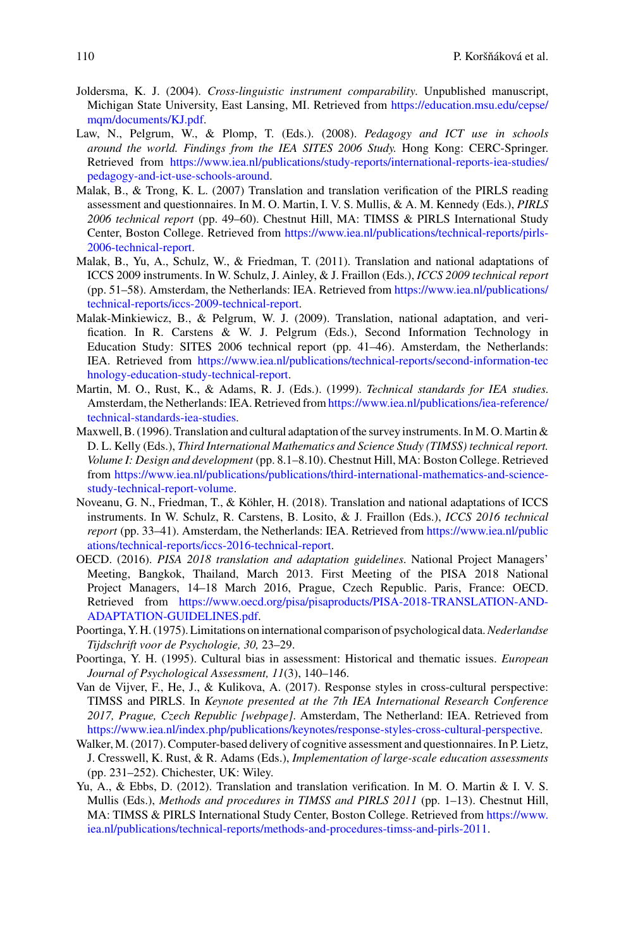- <span id="page-25-5"></span>Joldersma, K. J. (2004). *Cross-linguistic instrument comparability*. Unpublished manuscript, [Michigan State University, East Lansing, MI. Retrieved from](https://education.msu.edu/cepse/mqm/documents/KJ.pdf) https://education.msu.edu/cepse/ mqm/documents/KJ.pdf.
- <span id="page-25-13"></span>Law, N., Pelgrum, W., & Plomp, T. (Eds.). (2008). *Pedagogy and ICT use in schools around the world. Findings from the IEA SITES 2006 Study.* Hong Kong: CERC-Springer. Retrieved from [https://www.iea.nl/publications/study-reports/international-reports-iea-studies/](https://www.iea.nl/publications/study-reports/international-reports-iea-studies/pedagogy-and-ict-use-schools-around) pedagogy-and-ict-use-schools-around.
- <span id="page-25-10"></span>Malak, B., & Trong, K. L. (2007) Translation and translation verification of the PIRLS reading assessment and questionnaires. In M. O. Martin, I. V. S. Mullis, & A. M. Kennedy (Eds.), *PIRLS 2006 technical report* (pp. 49–60). Chestnut Hill, MA: TIMSS & PIRLS International Study Center, Boston College. Retrieved from [https://www.iea.nl/publications/technical-reports/pirls-](https://www.iea.nl/publications/technical-reports/pirls-2006-technical-report)2006-technical-report.
- <span id="page-25-7"></span>Malak, B., Yu, A., Schulz, W., & Friedman, T. (2011). Translation and national adaptations of ICCS 2009 instruments. In W. Schulz, J. Ainley, & J. Fraillon (Eds.), *ICCS 2009 technical report* [\(pp. 51–58\). Amsterdam, the Netherlands: IEA. Retrieved from](https://www.iea.nl/publications/technical-reports/iccs-2009-technical-report) https://www.iea.nl/publications/ technical-reports/iccs-2009-technical-report.
- <span id="page-25-11"></span>Malak-Minkiewicz, B., & Pelgrum, W. J. (2009). Translation, national adaptation, and verification. In R. Carstens & W. J. Pelgrum (Eds.), Second Information Technology in Education Study: SITES 2006 technical report (pp. 41–46). Amsterdam, the Netherlands: IEA. Retrieved from [https://www.iea.nl/publications/technical-reports/second-information-tec](https://www.iea.nl/publications/technical-reports/second-information-technology-education-study-technical-report) hnology-education-study-technical-report.
- <span id="page-25-3"></span>Martin, M. O., Rust, K., & Adams, R. J. (Eds.). (1999). *Technical standards for IEA studies*. [Amsterdam, the Netherlands: IEA. Retrieved from](https://www.iea.nl/publications/iea-reference/technical-standards-iea-studies) https://www.iea.nl/publications/iea-reference/ technical-standards-iea-studies.
- <span id="page-25-2"></span>Maxwell, B. (1996). Translation and cultural adaptation of the survey instruments. In M. O. Martin & D. L. Kelly (Eds.), *Third International Mathematics and Science Study (TIMSS) technical report. Volume I: Design and development* (pp. 8.1–8.10). Chestnut Hill, MA: Boston College. Retrieved from [https://www.iea.nl/publications/publications/third-international-mathematics-and-science](https://www.iea.nl/publications/publications/third-international-mathematics-and-science-study-technical-report-volume)study-technical-report-volume.
- <span id="page-25-8"></span>Noveanu, G. N., Friedman, T., & Köhler, H. (2018). Translation and national adaptations of ICCS instruments. In W. Schulz, R. Carstens, B. Losito, & J. Fraillon (Eds.), *ICCS 2016 technical report* [\(pp. 33–41\). Amsterdam, the Netherlands: IEA. Retrieved from](https://www.iea.nl/publications/technical-reports/iccs-2016-technical-report) https://www.iea.nl/public ations/technical-reports/iccs-2016-technical-report.
- <span id="page-25-6"></span>OECD. (2016). *PISA 2018 translation and adaptation guidelines*. National Project Managers' Meeting, Bangkok, Thailand, March 2013. First Meeting of the PISA 2018 National Project Managers, 14–18 March 2016, Prague, Czech Republic. Paris, France: OECD. Retrieved from [https://www.oecd.org/pisa/pisaproducts/PISA-2018-TRANSLATION-AND-](https://www.oecd.org/pisa/pisaproducts/PISA-2018-TRANSLATION-AND-ADAPTATION-GUIDELINES.pdf)ADAPTATION-GUIDELINES.pdf.
- <span id="page-25-0"></span>Poortinga, Y. H. (1975). Limitations on international comparison of psychological data.*Nederlandse Tijdschrift voor de Psychologie, 30,* 23–29.
- <span id="page-25-1"></span>Poortinga, Y. H. (1995). Cultural bias in assessment: Historical and thematic issues. *European Journal of Psychological Assessment, 11*(3), 140–146.
- <span id="page-25-4"></span>Van de Vijver, F., He, J., & Kulikova, A. (2017). Response styles in cross-cultural perspective: TIMSS and PIRLS. In *Keynote presented at the 7th IEA International Research Conference 2017, Prague, Czech Republic [webpage]*. Amsterdam, The Netherland: IEA. Retrieved from [https://www.iea.nl/index.php/publications/keynotes/response-styles-cross-cultural-perspective.](https://www.iea.nl/index.php/publications/keynotes/response-styles-cross-cultural-perspective)
- <span id="page-25-12"></span>Walker, M. (2017). Computer-based delivery of cognitive assessment and questionnaires. In P. Lietz, J. Cresswell, K. Rust, & R. Adams (Eds.), *Implementation of large-scale education assessments* (pp. 231–252). Chichester, UK: Wiley.
- <span id="page-25-9"></span>Yu, A., & Ebbs, D. (2012). Translation and translation verification. In M. O. Martin & I. V. S. Mullis (Eds.), *Methods and procedures in TIMSS and PIRLS 2011* (pp. 1–13). Chestnut Hill, MA: TIMSS & PIRLS International Study Center, Boston College. Retrieved from https://www. [iea.nl/publications/technical-reports/methods-and-procedures-timss-and-pirls-2011.](https://www.iea.nl/publications/technical-reports/methods-and-procedures-timss-and-pirls-2011)